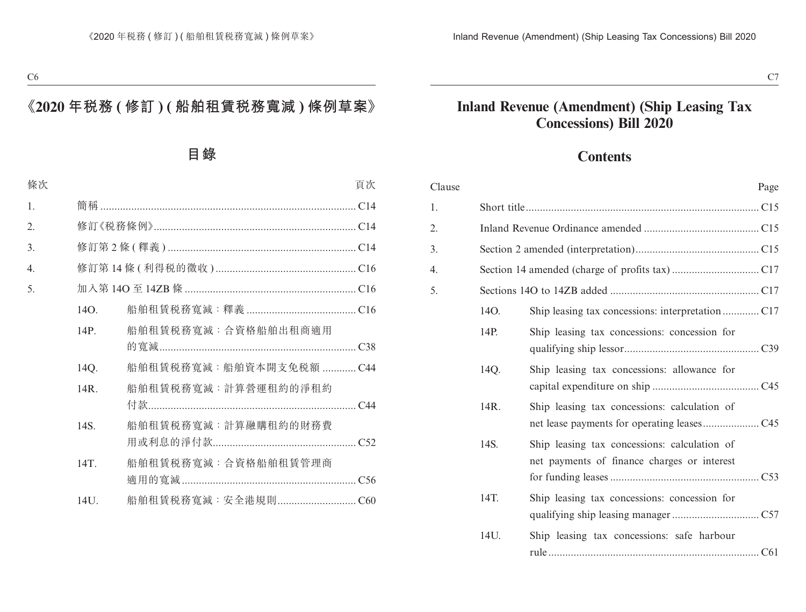## **Contents**

| Clause |      | Page                                                                                        |
|--------|------|---------------------------------------------------------------------------------------------|
| 1.     |      |                                                                                             |
| 2.     |      |                                                                                             |
| 3.     |      |                                                                                             |
| 4.     |      |                                                                                             |
| 5.     |      |                                                                                             |
|        | 14O. |                                                                                             |
|        | 14P. | Ship leasing tax concessions: concession for                                                |
|        | 14Q. | Ship leasing tax concessions: allowance for                                                 |
|        | 14R. | Ship leasing tax concessions: calculation of                                                |
|        | 14S. | Ship leasing tax concessions: calculation of<br>net payments of finance charges or interest |
|        | 14T. | Ship leasing tax concessions: concession for                                                |
|        | 14U. | Ship leasing tax concessions: safe harbour                                                  |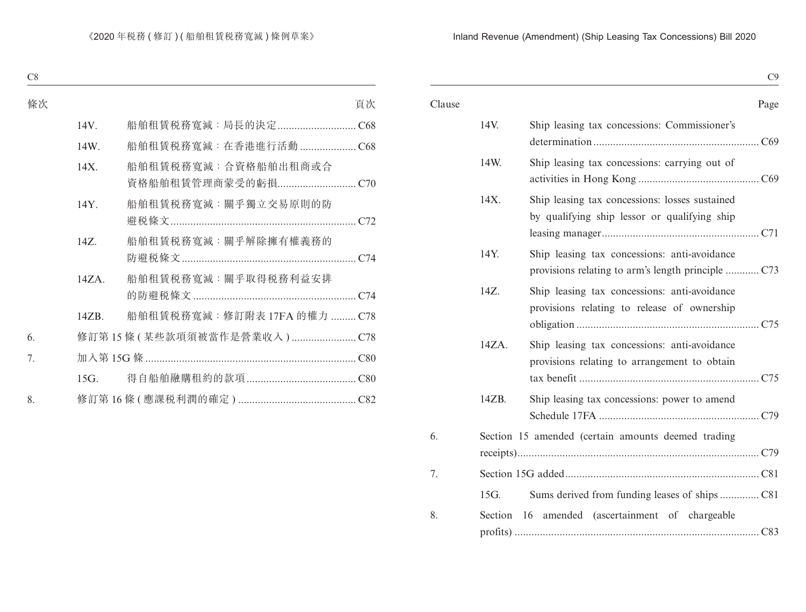| H<br>ш<br>., |
|--------------|
|--------------|

| Clause |       | Page                                                                                           |
|--------|-------|------------------------------------------------------------------------------------------------|
|        | 14V.  | Ship leasing tax concessions: Commissioner's                                                   |
|        | 14W.  | Ship leasing tax concessions: carrying out of                                                  |
|        | 14X.  | Ship leasing tax concessions: losses sustained<br>by qualifying ship lessor or qualifying ship |
|        | 14Y.  | Ship leasing tax concessions: anti-avoidance                                                   |
|        | 14Z.  | Ship leasing tax concessions: anti-avoidance<br>provisions relating to release of ownership    |
|        | 14ZA. | Ship leasing tax concessions: anti-avoidance<br>provisions relating to arrangement to obtain   |
|        | 14ZB. | Ship leasing tax concessions: power to amend                                                   |
| 6.     |       | Section 15 amended (certain amounts deemed trading                                             |
| 7.     |       |                                                                                                |
|        | 15G.  |                                                                                                |
| 8.     |       | Section 16 amended (ascertainment of chargeable                                                |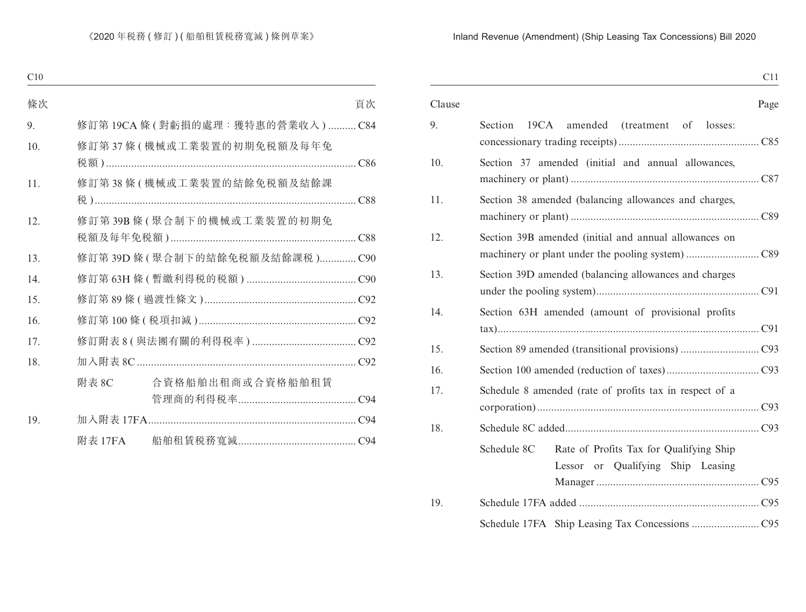| -<br>. .<br>- - - |
|-------------------|
|-------------------|

| Clause |         |             |                                                                              |  | Page |
|--------|---------|-------------|------------------------------------------------------------------------------|--|------|
| 9.     | Section |             | 19CA amended (treatment of losses:                                           |  |      |
| 10.    |         |             | Section 37 amended (initial and annual allowances,                           |  |      |
| 11.    |         |             | Section 38 amended (balancing allowances and charges,                        |  |      |
| 12.    |         |             | Section 39B amended (initial and annual allowances on                        |  |      |
| 13.    |         |             | Section 39D amended (balancing allowances and charges                        |  |      |
| 14.    |         |             | Section 63H amended (amount of provisional profits                           |  |      |
| 15.    |         |             |                                                                              |  |      |
| 16.    |         |             |                                                                              |  |      |
| 17.    |         |             | Schedule 8 amended (rate of profits tax in respect of a                      |  |      |
| 18.    |         |             |                                                                              |  |      |
|        |         | Schedule 8C | Rate of Profits Tax for Qualifying Ship<br>Lessor or Qualifying Ship Leasing |  |      |
| 19.    |         |             |                                                                              |  |      |
|        |         |             |                                                                              |  |      |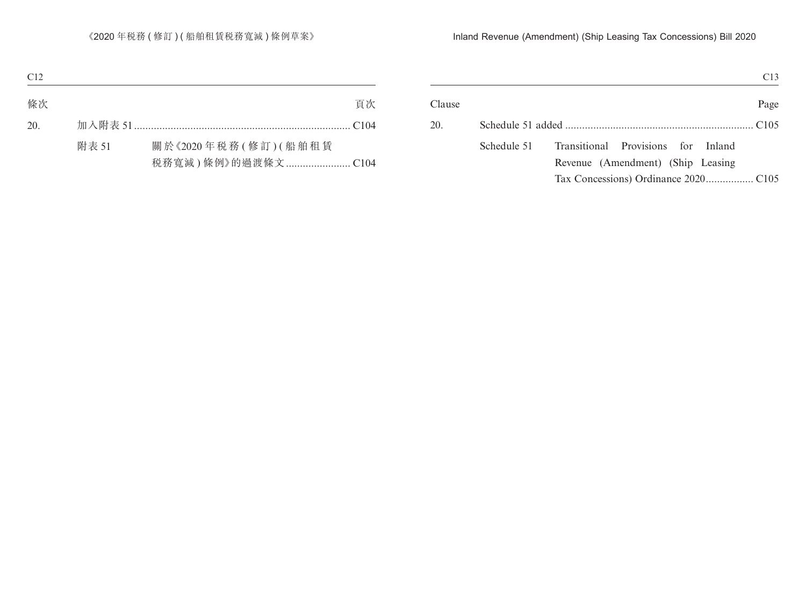|        | C13                                               |
|--------|---------------------------------------------------|
| Clause | Page                                              |
| 20.    |                                                   |
|        | Transitional Provisions for Inland<br>Schedule 51 |
|        | Revenue (Amendment) (Ship Leasing                 |
|        |                                                   |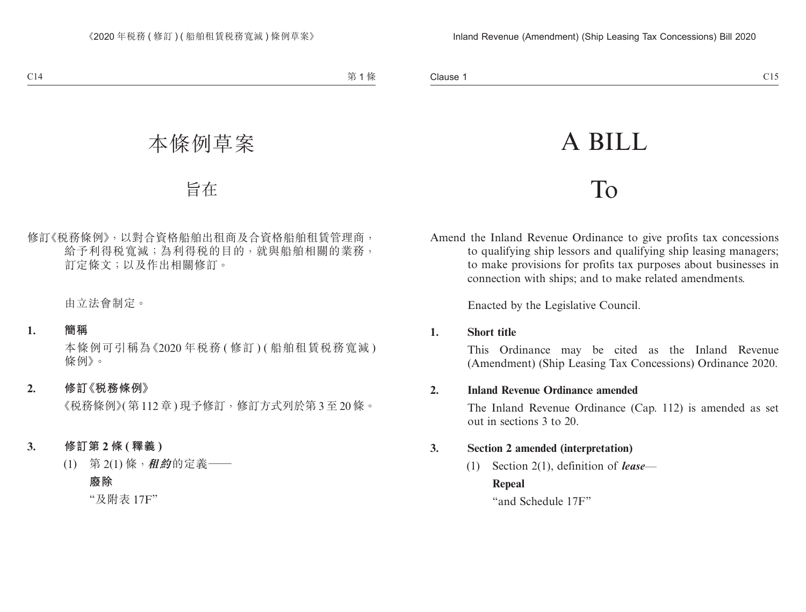# A BILL

## To

Amend the Inland Revenue Ordinance to give profits tax concessions to qualifying ship lessors and qualifying ship leasing managers; to make provisions for profits tax purposes about businesses in connection with ships; and to make related amendments.

Enacted by the Legislative Council.

#### **1. Short title**

This Ordinance may be cited as the Inland Revenue (Amendment) (Ship Leasing Tax Concessions) Ordinance 2020.

#### **2. Inland Revenue Ordinance amended**

The Inland Revenue Ordinance (Cap. 112) is amended as set out in sections 3 to 20.

#### **3. Section 2 amended (interpretation)**

(1) Section 2(1), definition of *lease*—

#### **Repeal**

"and Schedule 17F"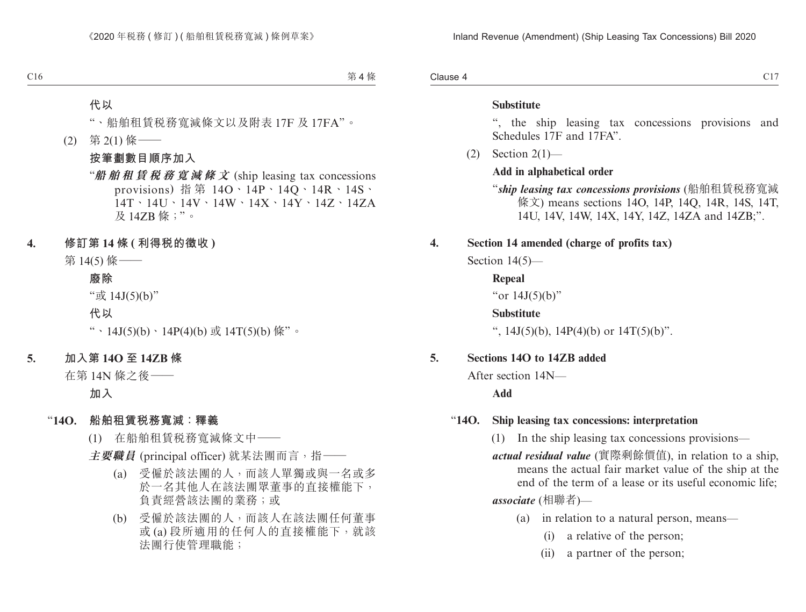Clause 4  $Cl_3$  Clause 4 contract to  $Cl_3$ 

#### **Substitute**

", the ship leasing tax concessions provisions and Schedules 17F and 17FA".

(2) Section 2(1)—

#### **Add in alphabetical order**

- "*ship leasing tax concessions provisions* (船舶租賃稅務寬減 條文) means sections 14O, 14P, 14Q, 14R, 14S, 14T, 14U, 14V, 14W, 14X, 14Y, 14Z, 14ZA and 14ZB;".
- **4. Section 14 amended (charge of profits tax)**

Section 14(5)—

**Repeal** "or 14J(5)(b)" **Substitute** ",  $14J(5)(b)$ ,  $14P(4)(b)$  or  $14T(5)(b)$ ".

#### **5. Sections 14O to 14ZB added**

After section 14N—

**Add**

#### "**14O. Ship leasing tax concessions: interpretation**

- (1) In the ship leasing tax concessions provisions—
- *actual residual value* (實際剩餘價值), in relation to a ship, means the actual fair market value of the ship at the end of the term of a lease or its useful economic life; *associate* (相聯者)—
	- (a) in relation to a natural person, means—
		- (i) a relative of the person;
		- (ii) a partner of the person;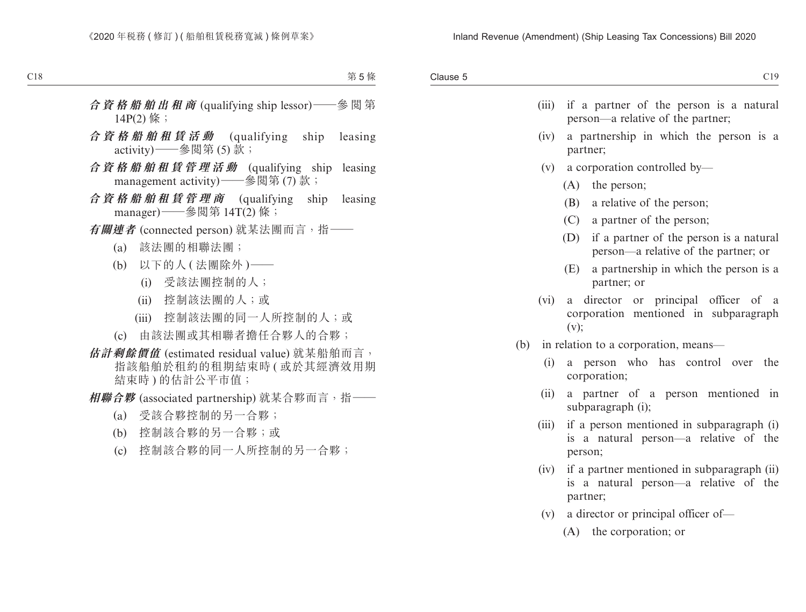| Clause 5 |
|----------|
|          |

| . .     | ×       |        |
|---------|---------|--------|
| ×<br>., | ۰.<br>v | I<br>I |

| (iii) | if a partner of the person is a natural<br>person-a relative of the partner;                     |
|-------|--------------------------------------------------------------------------------------------------|
| (iv)  | a partnership in which the person is a<br>partner;                                               |
| (v)   | a corporation controlled by-                                                                     |
|       | $(A)$ the person;                                                                                |
|       | (B) a relative of the person;                                                                    |
|       | (C) a partner of the person;                                                                     |
|       | (D) if a partner of the person is a natural<br>person—a relative of the partner; or              |
|       | (E)<br>a partnership in which the person is a<br>partner; or                                     |
| (vi)  | director or principal officer of a<br>a<br>corporation mentioned in subparagraph<br>(v);         |
| (b)   | in relation to a corporation, means-                                                             |
| (i)   | a person who has control over<br>the<br>corporation;                                             |
| (ii)  | a partner of a person mentioned in<br>subparagraph (i);                                          |
| (iii) | if a person mentioned in subparagraph (i)<br>is a natural person—a relative of the<br>person;    |
| (iv)  | if a partner mentioned in subparagraph (ii)<br>is a natural person—a relative of the<br>partner; |
|       | $(v)$ a director or principal officer of-                                                        |
|       | (A) the corporation; or                                                                          |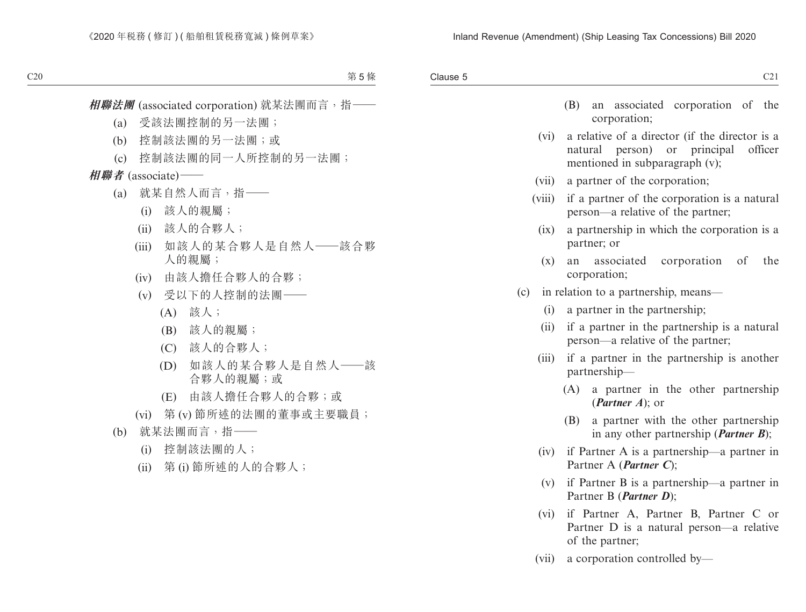| . .<br>전 사<br>× |  |
|-----------------|--|
| P)<br>×<br>v    |  |
|                 |  |

|  |              | (B) an associated corporation of the |  |
|--|--------------|--------------------------------------|--|
|  | corporation; |                                      |  |

- (vi) a relative of a director (if the director is a natural person) or principal officer mentioned in subparagraph (v);
- (vii) a partner of the corporation;
- (viii) if a partner of the corporation is a natural person—a relative of the partner;
	- (ix) a partnership in which the corporation is a partner; or
	- (x) an associated corporation of the corporation;
- (c) in relation to a partnership, means—
	- (i) a partner in the partnership;
	- (ii) if a partner in the partnership is a natural person—a relative of the partner;
	- (iii) if a partner in the partnership is another partnership—
		- (A) a partner in the other partnership (*Partner A*); or
		- (B) a partner with the other partnership in any other partnership (*Partner B*);
	- (iv) if Partner A is a partnership—a partner in Partner A (*Partner C*);
	- (v) if Partner B is a partnership—a partner in Partner B (*Partner D*);
	- (vi) if Partner A, Partner B, Partner C or Partner D is a natural person—a relative of the partner;
	- (vii) a corporation controlled by—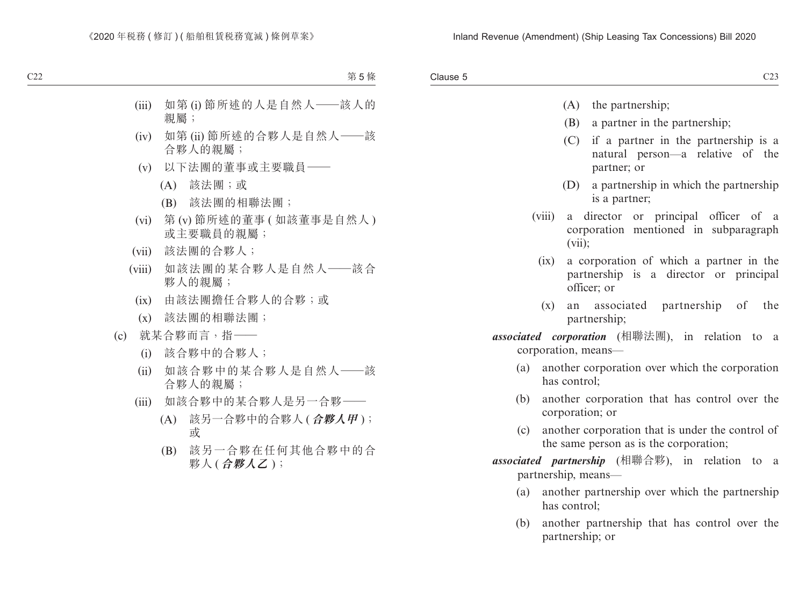Clause 5 Clause 5 and 2012 and 2012 and 2012 and 2012 and 2012 and 2013 and 2013 and 2013 and 2013 and 2013 and 2013 and 2013

- (A) the partnership;
- (B) a partner in the partnership;
- (C) if a partner in the partnership is a natural person—a relative of the partner; or
- (D) a partnership in which the partnership is a partner;
- (viii) a director or principal officer of a corporation mentioned in subparagraph (vii);
	- (ix) a corporation of which a partner in the partnership is a director or principal officer; or
	- (x) an associated partnership of the partnership;
- *associated corporation* (相聯法團), in relation to a corporation, means—
	- (a) another corporation over which the corporation has control;
	- (b) another corporation that has control over the corporation; or
	- (c) another corporation that is under the control of the same person as is the corporation;
- *associated partnership* (相聯合夥), in relation to a partnership, means—
	- (a) another partnership over which the partnership has control;
	- (b) another partnership that has control over the partnership; or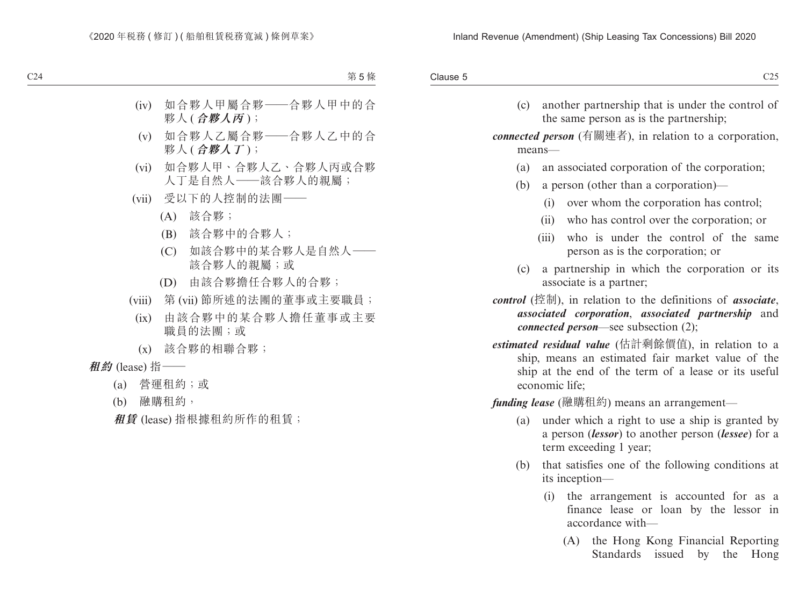(c) another partnership that is under the control of the same person as is the partnership;

*connected person* (有關連者), in relation to a corporation, means—

- (a) an associated corporation of the corporation;
- (b) a person (other than a corporation)—
	- (i) over whom the corporation has control;
	- (ii) who has control over the corporation; or
	- (iii) who is under the control of the same person as is the corporation; or
- (c) a partnership in which the corporation or its associate is a partner;
- *control* (控制), in relation to the definitions of *associate*, *associated corporation*, *associated partnership* and *connected person*—see subsection (2);
- *estimated residual value* (估計剩餘價值), in relation to a ship, means an estimated fair market value of the ship at the end of the term of a lease or its useful economic life;

*funding lease* (融購租約) means an arrangement—

- (a) under which a right to use a ship is granted by a person (*lessor*) to another person (*lessee*) for a term exceeding 1 year;
- (b) that satisfies one of the following conditions at its inception—
	- (i) the arrangement is accounted for as a finance lease or loan by the lessor in accordance with—
		- (A) the Hong Kong Financial Reporting Standards issued by the Hong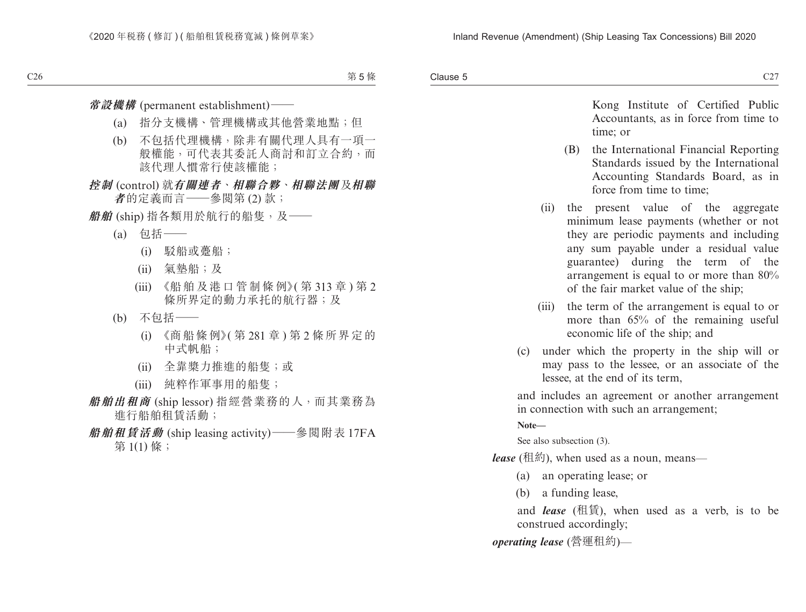Clause 5  $\alpha$  Clause 5  $\alpha$  C27

> Kong Institute of Certified Public Accountants, as in force from time to time; or

- (B) the International Financial Reporting Standards issued by the International Accounting Standards Board, as in force from time to time;
- (ii) the present value of the aggregate minimum lease payments (whether or not they are periodic payments and including any sum payable under a residual value guarantee) during the term of the arrangement is equal to or more than 80% of the fair market value of the ship;
- (iii) the term of the arrangement is equal to or more than 65% of the remaining useful economic life of the ship; and
- (c) under which the property in the ship will or may pass to the lessee, or an associate of the lessee, at the end of its term,

and includes an agreement or another arrangement in connection with such an arrangement;

**Note—**

See also subsection (3).

*lease* (租約), when used as a noun, means—

- (a) an operating lease; or
- (b) a funding lease,

and *lease* (租賃), when used as a verb, is to be construed accordingly;

*operating lease* (營運租約)—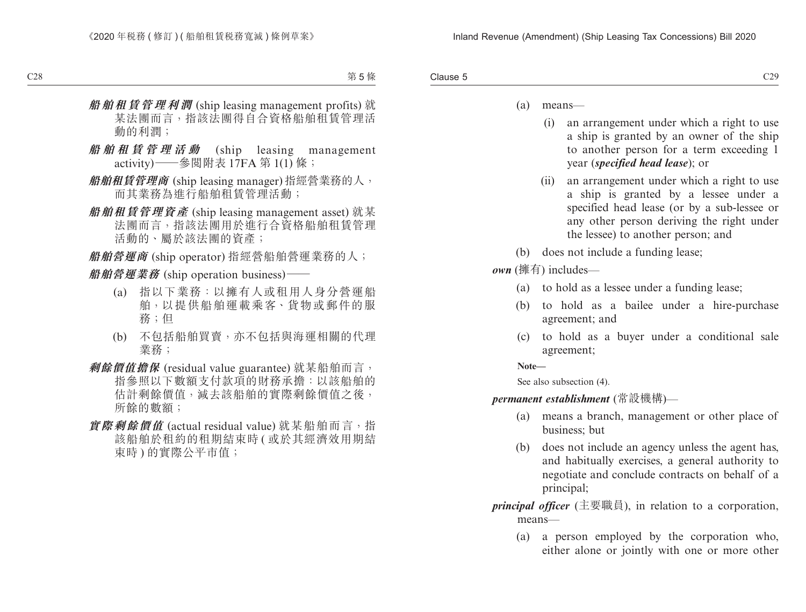- (a) means—
	- (i) an arrangement under which a right to use a ship is granted by an owner of the ship to another person for a term exceeding 1 year (*specified head lease*); or
	- (ii) an arrangement under which a right to use a ship is granted by a lessee under a specified head lease (or by a sub-lessee or any other person deriving the right under the lessee) to another person; and
- (b) does not include a funding lease;

*own* (擁有) includes—

- (a) to hold as a lessee under a funding lease;
- (b) to hold as a bailee under a hire-purchase agreement; and
- (c) to hold as a buyer under a conditional sale agreement;

**Note—**

See also subsection (4).

*permanent establishment* (常設機構)—

- (a) means a branch, management or other place of business; but
- (b) does not include an agency unless the agent has, and habitually exercises, a general authority to negotiate and conclude contracts on behalf of a principal;
- *principal officer* (主要職員), in relation to a corporation, means—
	- (a) a person employed by the corporation who, either alone or jointly with one or more other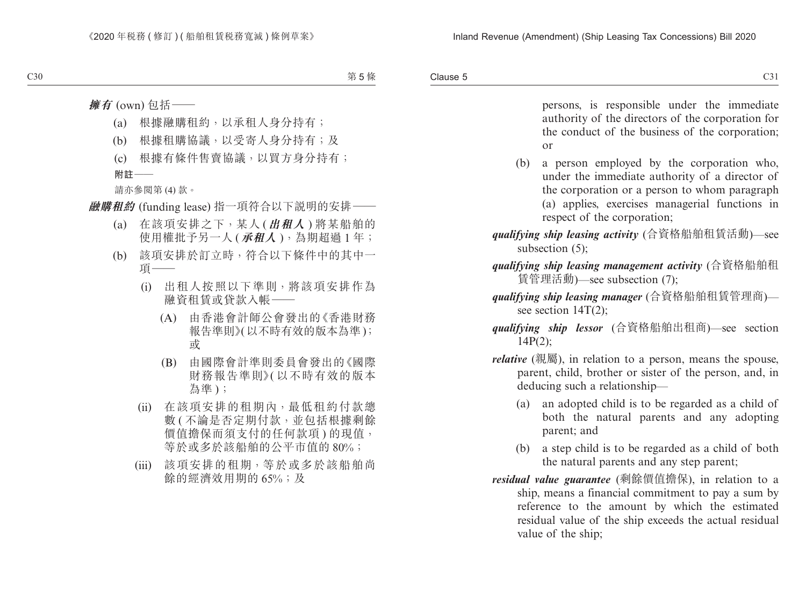Clause 5  $\alpha$  Clause 5 C31

> persons, is responsible under the immediate authority of the directors of the corporation for the conduct of the business of the corporation; or

- (b) a person employed by the corporation who, under the immediate authority of a director of the corporation or a person to whom paragraph (a) applies, exercises managerial functions in respect of the corporation;
- *qualifying ship leasing activity* (合資格船舶租賃活動)—see subsection  $(5)$ :
- *qualifying ship leasing management activity* (合資格船舶租 賃管理活動)—see subsection (7);
- *qualifying ship leasing manager* (合資格船舶租賃管理商) see section 14T(2);
- *qualifying ship lessor* (合資格船舶出租商)—see section 14P(2);
- *relative* (親屬), in relation to a person, means the spouse, parent, child, brother or sister of the person, and, in deducing such a relationship—
	- (a) an adopted child is to be regarded as a child of both the natural parents and any adopting parent; and
	- (b) a step child is to be regarded as a child of both the natural parents and any step parent;
- *residual value guarantee* (剩餘價值擔保), in relation to a ship, means a financial commitment to pay a sum by reference to the amount by which the estimated residual value of the ship exceeds the actual residual value of the ship;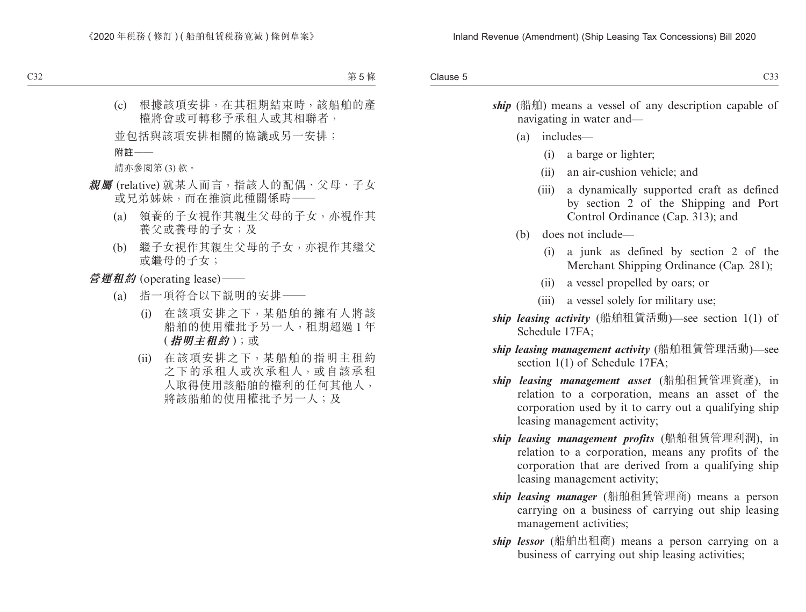| Clause 5<br>ーー |
|----------------|
|                |

ship (船舶) means a vessel of any description capable of navigating in water and—

- (a) includes—
	- (i) a barge or lighter;
	- (ii) an air-cushion vehicle; and
	- (iii) a dynamically supported craft as defined by section 2 of the Shipping and Port Control Ordinance (Cap. 313); and
- (b) does not include—
	- (i) a junk as defined by section 2 of the Merchant Shipping Ordinance (Cap. 281);
	- (ii) a vessel propelled by oars; or
	- (iii) a vessel solely for military use;
- *ship leasing activity* (船舶租賃活動)—see section 1(1) of Schedule 17FA;
- *ship leasing management activity* (船舶租賃管理活動)—see section 1(1) of Schedule 17FA;
- *ship leasing management asset* (船舶租賃管理資產), in relation to a corporation, means an asset of the corporation used by it to carry out a qualifying ship leasing management activity;
- *ship leasing management profits* (船舶租賃管理利潤), in relation to a corporation, means any profits of the corporation that are derived from a qualifying ship leasing management activity;
- *ship leasing manager* (船舶租賃管理商) means a person carrying on a business of carrying out ship leasing management activities;
- *ship lessor* (船舶出租商) means a person carrying on a business of carrying out ship leasing activities;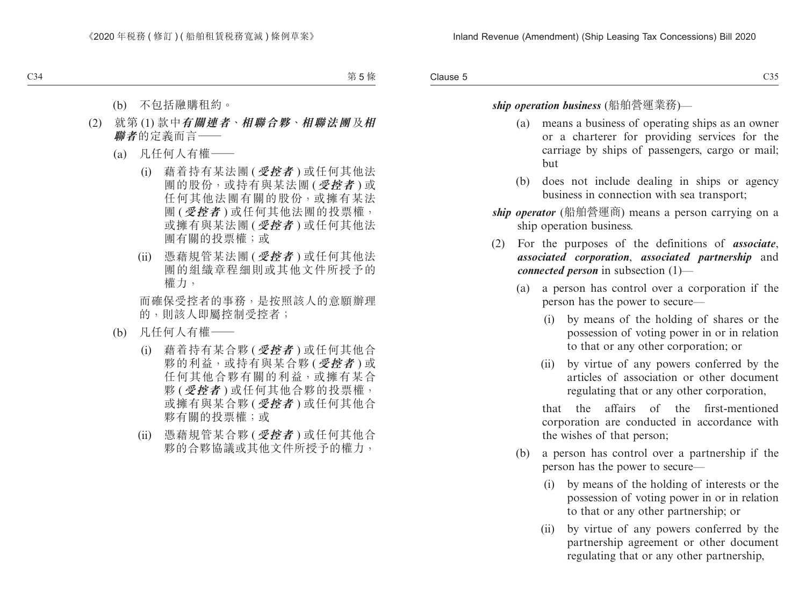#### *ship operation business* (船舶營運業務)—

- (a) means a business of operating ships as an owner or a charterer for providing services for the carriage by ships of passengers, cargo or mail; but
- (b) does not include dealing in ships or agency business in connection with sea transport;
- *ship operator* (船舶營運商) means a person carrying on a ship operation business.
- (2) For the purposes of the definitions of *associate*, *associated corporation*, *associated partnership* and *connected person* in subsection (1)—
	- (a) a person has control over a corporation if the person has the power to secure—
		- (i) by means of the holding of shares or the possession of voting power in or in relation to that or any other corporation; or
		- (ii) by virtue of any powers conferred by the articles of association or other document regulating that or any other corporation,

that the affairs of the first-mentioned corporation are conducted in accordance with the wishes of that person;

- (b) a person has control over a partnership if the person has the power to secure—
	- (i) by means of the holding of interests or the possession of voting power in or in relation to that or any other partnership; or
	- (ii) by virtue of any powers conferred by the partnership agreement or other document regulating that or any other partnership,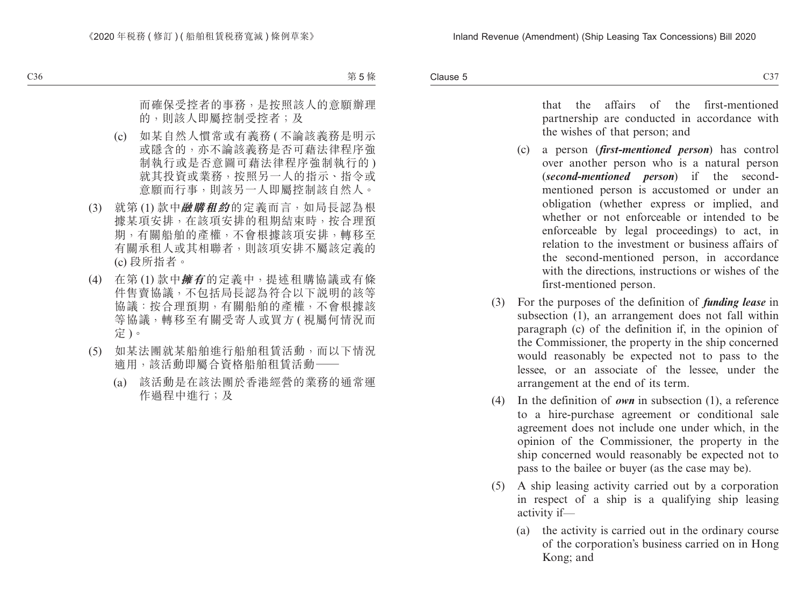that the affairs of the first-mentioned partnership are conducted in accordance with the wishes of that person; and

- (c) a person (*first-mentioned person*) has control over another person who is a natural person (*second-mentioned person*) if the secondmentioned person is accustomed or under an obligation (whether express or implied, and whether or not enforceable or intended to be enforceable by legal proceedings) to act, in relation to the investment or business affairs of the second-mentioned person, in accordance with the directions, instructions or wishes of the first-mentioned person.
- (3) For the purposes of the definition of *funding lease* in subsection (1), an arrangement does not fall within paragraph (c) of the definition if, in the opinion of the Commissioner, the property in the ship concerned would reasonably be expected not to pass to the lessee, or an associate of the lessee, under the arrangement at the end of its term.
- (4) In the definition of *own* in subsection (1), a reference to a hire-purchase agreement or conditional sale agreement does not include one under which, in the opinion of the Commissioner, the property in the ship concerned would reasonably be expected not to pass to the bailee or buyer (as the case may be).
- (5) A ship leasing activity carried out by a corporation in respect of a ship is a qualifying ship leasing activity if—
	- (a) the activity is carried out in the ordinary course of the corporation's business carried on in Hong Kong; and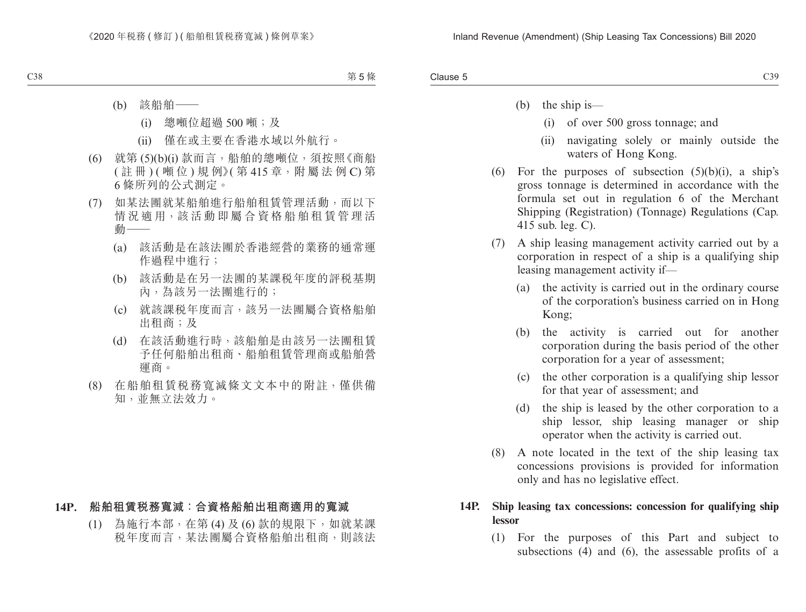| Clause 5<br>رں |
|----------------|
|                |

- (b) the ship is—
	- (i) of over 500 gross tonnage; and
	- (ii) navigating solely or mainly outside the waters of Hong Kong.
- (6) For the purposes of subsection  $(5)(b)(i)$ , a ship's gross tonnage is determined in accordance with the formula set out in regulation 6 of the Merchant Shipping (Registration) (Tonnage) Regulations (Cap. 415 sub. leg. C).
- (7) A ship leasing management activity carried out by a corporation in respect of a ship is a qualifying ship leasing management activity if—
	- (a) the activity is carried out in the ordinary course of the corporation's business carried on in Hong Kong;
	- (b) the activity is carried out for another corporation during the basis period of the other corporation for a year of assessment;
	- (c) the other corporation is a qualifying ship lessor for that year of assessment; and
	- (d) the ship is leased by the other corporation to a ship lessor, ship leasing manager or ship operator when the activity is carried out.
- (8) A note located in the text of the ship leasing tax concessions provisions is provided for information only and has no legislative effect.

#### **14P. Ship leasing tax concessions: concession for qualifying ship lessor**

(1) For the purposes of this Part and subject to subsections (4) and (6), the assessable profits of a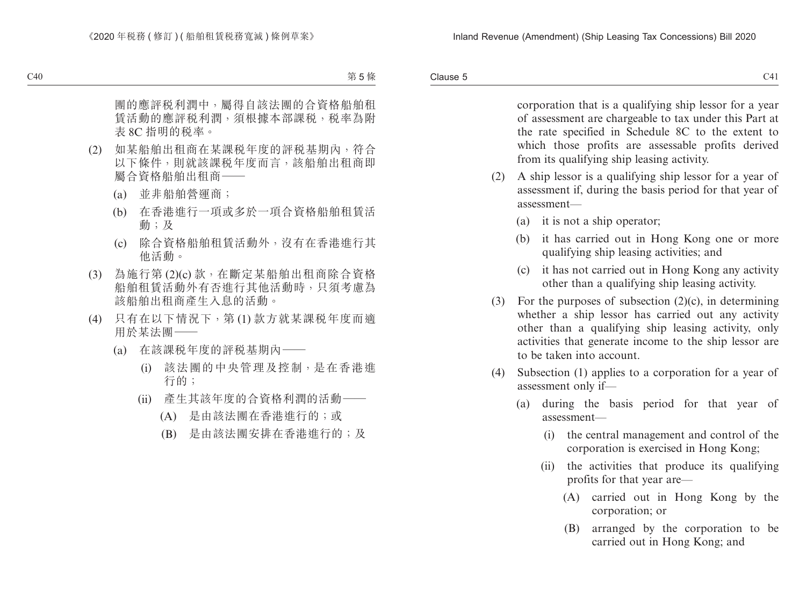Clause 5  $C41$  Clause 5

> corporation that is a qualifying ship lessor for a year of assessment are chargeable to tax under this Part at the rate specified in Schedule 8C to the extent to which those profits are assessable profits derived from its qualifying ship leasing activity.

- (2) A ship lessor is a qualifying ship lessor for a year of assessment if, during the basis period for that year of assessment—
	- (a) it is not a ship operator;
	- (b) it has carried out in Hong Kong one or more qualifying ship leasing activities; and
	- (c) it has not carried out in Hong Kong any activity other than a qualifying ship leasing activity.
- (3) For the purposes of subsection  $(2)(c)$ , in determining whether a ship lessor has carried out any activity other than a qualifying ship leasing activity, only activities that generate income to the ship lessor are to be taken into account.
- (4) Subsection (1) applies to a corporation for a year of assessment only if—
	- (a) during the basis period for that year of assessment—
		- (i) the central management and control of the corporation is exercised in Hong Kong;
		- (ii) the activities that produce its qualifying profits for that year are—
			- (A) carried out in Hong Kong by the corporation; or
			- (B) arranged by the corporation to be carried out in Hong Kong; and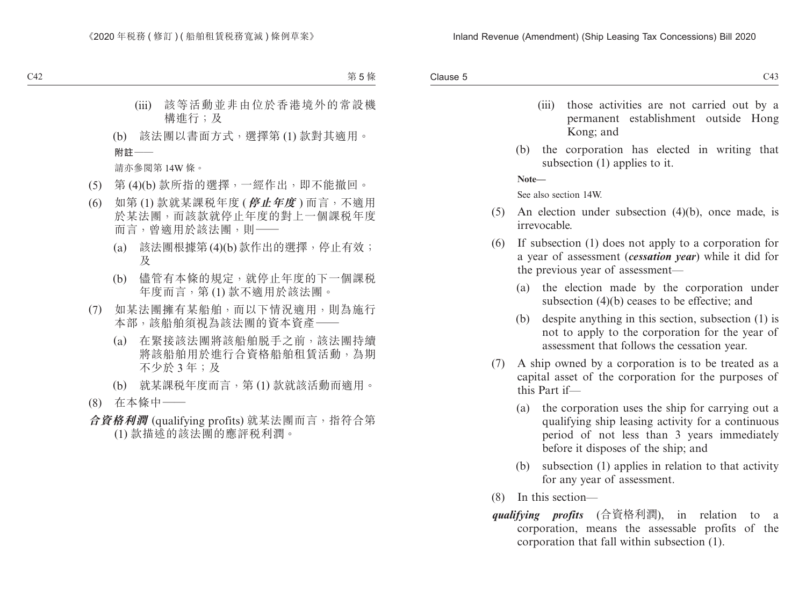- (iii) those activities are not carried out by a permanent establishment outside Hong Kong; and
- (b) the corporation has elected in writing that subsection (1) applies to it.

**Note—**

See also section 14W.

- (5) An election under subsection (4)(b), once made, is irrevocable.
- (6) If subsection (1) does not apply to a corporation for a year of assessment (*cessation year*) while it did for the previous year of assessment—
	- (a) the election made by the corporation under subsection (4)(b) ceases to be effective; and
	- (b) despite anything in this section, subsection (1) is not to apply to the corporation for the year of assessment that follows the cessation year.
- (7) A ship owned by a corporation is to be treated as a capital asset of the corporation for the purposes of this Part if—
	- (a) the corporation uses the ship for carrying out a qualifying ship leasing activity for a continuous period of not less than 3 years immediately before it disposes of the ship; and
	- (b) subsection (1) applies in relation to that activity for any year of assessment.
- (8) In this section—
- *qualifying profits* (合資格利潤), in relation to a corporation, means the assessable profits of the corporation that fall within subsection (1).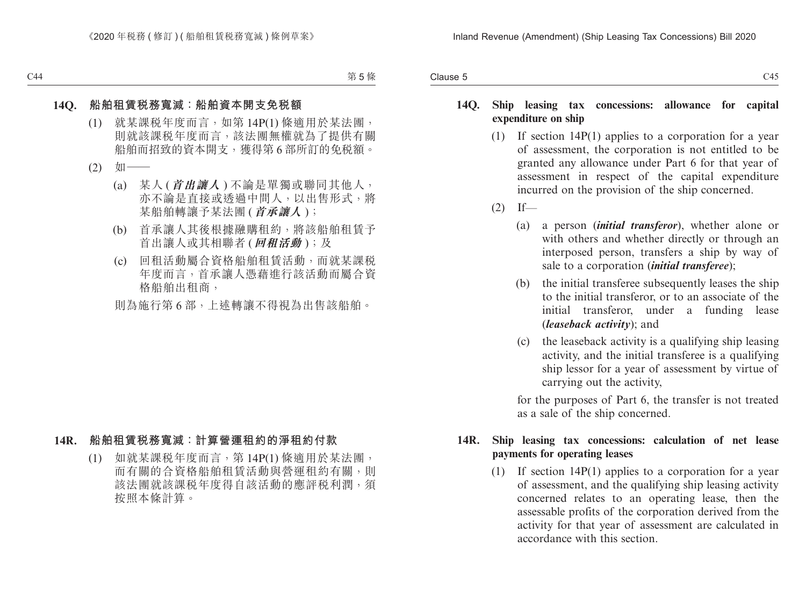#### **14Q. Ship leasing tax concessions: allowance for capital expenditure on ship**

- (1) If section 14P(1) applies to a corporation for a year of assessment, the corporation is not entitled to be granted any allowance under Part 6 for that year of assessment in respect of the capital expenditure incurred on the provision of the ship concerned.
- $(2)$  If—
	- (a) a person (*initial transferor*), whether alone or with others and whether directly or through an interposed person, transfers a ship by way of sale to a corporation (*initial transferee*);
	- (b) the initial transferee subsequently leases the ship to the initial transferor, or to an associate of the initial transferor, under a funding lease (*leaseback activity*); and
	- (c) the leaseback activity is a qualifying ship leasing activity, and the initial transferee is a qualifying ship lessor for a year of assessment by virtue of carrying out the activity,

for the purposes of Part 6, the transfer is not treated as a sale of the ship concerned.

#### **14R. Ship leasing tax concessions: calculation of net lease payments for operating leases**

(1) If section 14P(1) applies to a corporation for a year of assessment, and the qualifying ship leasing activity concerned relates to an operating lease, then the assessable profits of the corporation derived from the activity for that year of assessment are calculated in accordance with this section.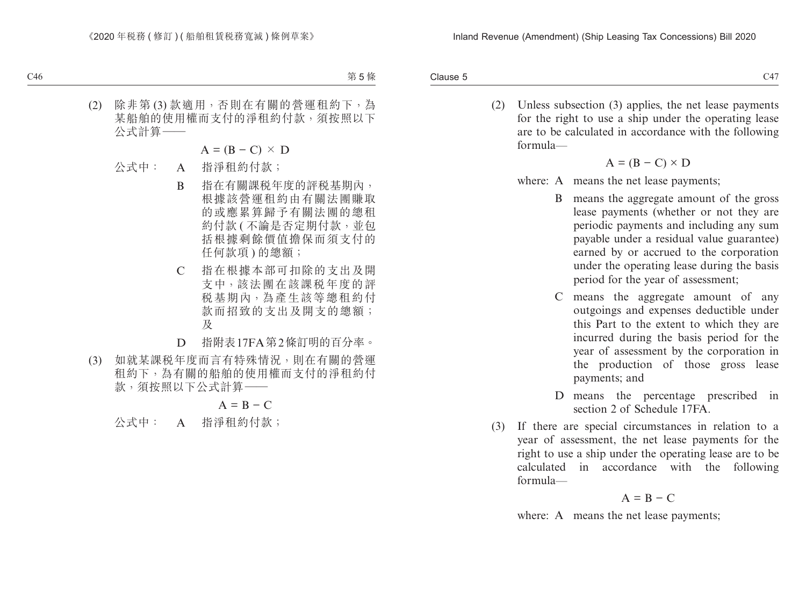Clause 5  $\alpha$  Clause 5  $\alpha$  C47

> (2) Unless subsection (3) applies, the net lease payments for the right to use a ship under the operating lease are to be calculated in accordance with the following formula—

$$
A = (B - C) \times D
$$

- where: A means the net lease payments:
	- B means the aggregate amount of the gross lease payments (whether or not they are periodic payments and including any sum payable under a residual value guarantee) earned by or accrued to the corporation under the operating lease during the basis period for the year of assessment;
	- C means the aggregate amount of any outgoings and expenses deductible under this Part to the extent to which they are incurred during the basis period for the year of assessment by the corporation in the production of those gross lease payments; and
	- D means the percentage prescribed in section 2 of Schedule 17FA.
- (3) If there are special circumstances in relation to a year of assessment, the net lease payments for the right to use a ship under the operating lease are to be calculated in accordance with the following formula—

$$
A = B - C
$$

where: A means the net lease payments;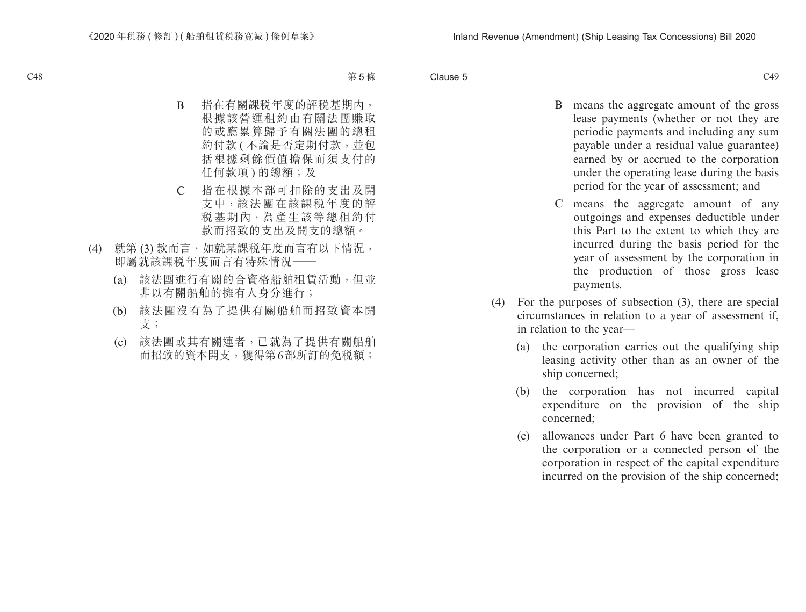- B means the aggregate amount of the gross lease payments (whether or not they are periodic payments and including any sum payable under a residual value guarantee) earned by or accrued to the corporation under the operating lease during the basis period for the year of assessment; and
- C means the aggregate amount of any outgoings and expenses deductible under this Part to the extent to which they are incurred during the basis period for the year of assessment by the corporation in the production of those gross lease payments.
- (4) For the purposes of subsection (3), there are special circumstances in relation to a year of assessment if, in relation to the year—
	- (a) the corporation carries out the qualifying ship leasing activity other than as an owner of the ship concerned;
	- (b) the corporation has not incurred capital expenditure on the provision of the ship concerned;
	- (c) allowances under Part 6 have been granted to the corporation or a connected person of the corporation in respect of the capital expenditure incurred on the provision of the ship concerned;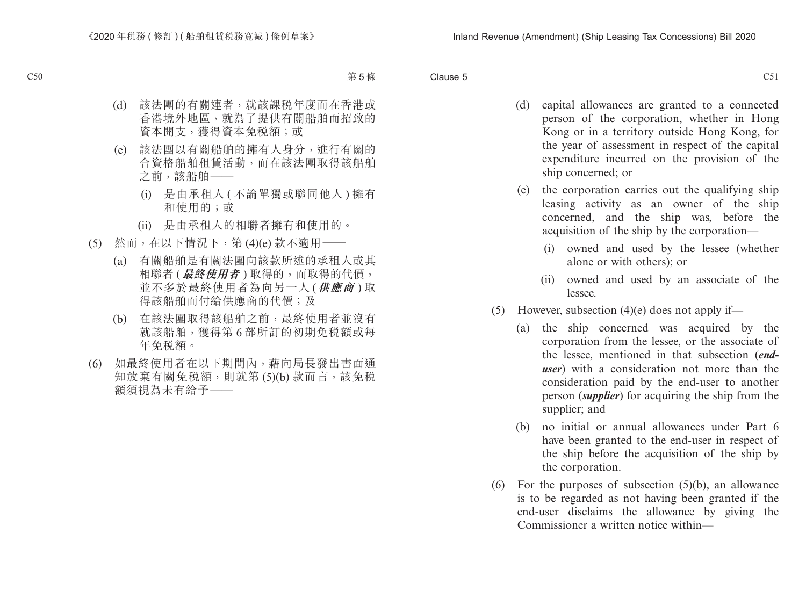Clause 5  $\epsilon$  Clause 5 C51

- (d) capital allowances are granted to a connected person of the corporation, whether in Hong Kong or in a territory outside Hong Kong, for the year of assessment in respect of the capital expenditure incurred on the provision of the ship concerned; or
- (e) the corporation carries out the qualifying ship leasing activity as an owner of the ship concerned, and the ship was, before the acquisition of the ship by the corporation—
	- (i) owned and used by the lessee (whether alone or with others); or
	- (ii) owned and used by an associate of the lessee.
- (5) However, subsection  $(4)(e)$  does not apply if—
	- (a) the ship concerned was acquired by the corporation from the lessee, or the associate of the lessee, mentioned in that subsection (*enduser*) with a consideration not more than the consideration paid by the end-user to another person (*supplier*) for acquiring the ship from the supplier; and
	- (b) no initial or annual allowances under Part 6 have been granted to the end-user in respect of the ship before the acquisition of the ship by the corporation.
- (6) For the purposes of subsection (5)(b), an allowance is to be regarded as not having been granted if the end-user disclaims the allowance by giving the Commissioner a written notice within—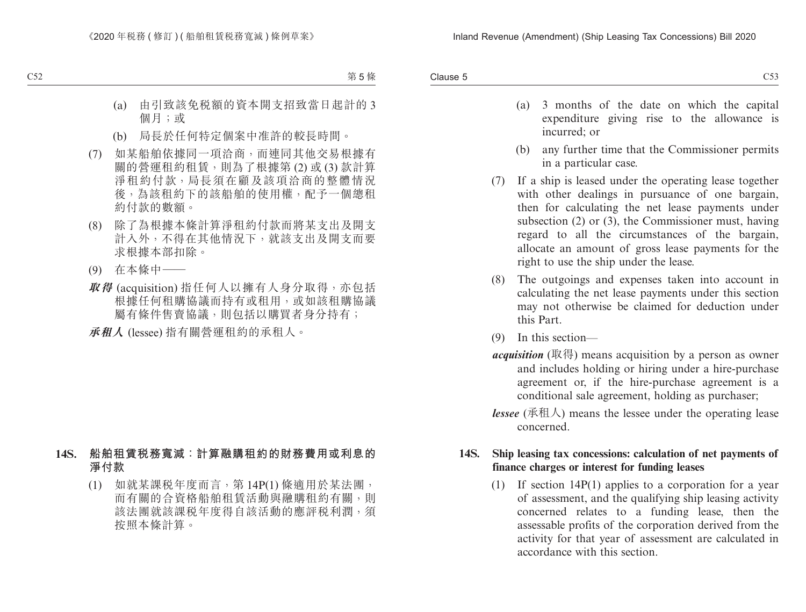- (a) 3 months of the date on which the capital expenditure giving rise to the allowance is incurred; or
- (b) any further time that the Commissioner permits in a particular case.
- (7) If a ship is leased under the operating lease together with other dealings in pursuance of one bargain, then for calculating the net lease payments under subsection (2) or (3), the Commissioner must, having regard to all the circumstances of the bargain, allocate an amount of gross lease payments for the right to use the ship under the lease.
- (8) The outgoings and expenses taken into account in calculating the net lease payments under this section may not otherwise be claimed for deduction under this Part.
- (9) In this section—
- *acquisition* (取得) means acquisition by a person as owner and includes holding or hiring under a hire-purchase agreement or, if the hire-purchase agreement is a conditional sale agreement, holding as purchaser;
- *lessee* (承租人) means the lessee under the operating lease concerned.

#### **14S. Ship leasing tax concessions: calculation of net payments of finance charges or interest for funding leases**

(1) If section 14P(1) applies to a corporation for a year of assessment, and the qualifying ship leasing activity concerned relates to a funding lease, then the assessable profits of the corporation derived from the activity for that year of assessment are calculated in accordance with this section.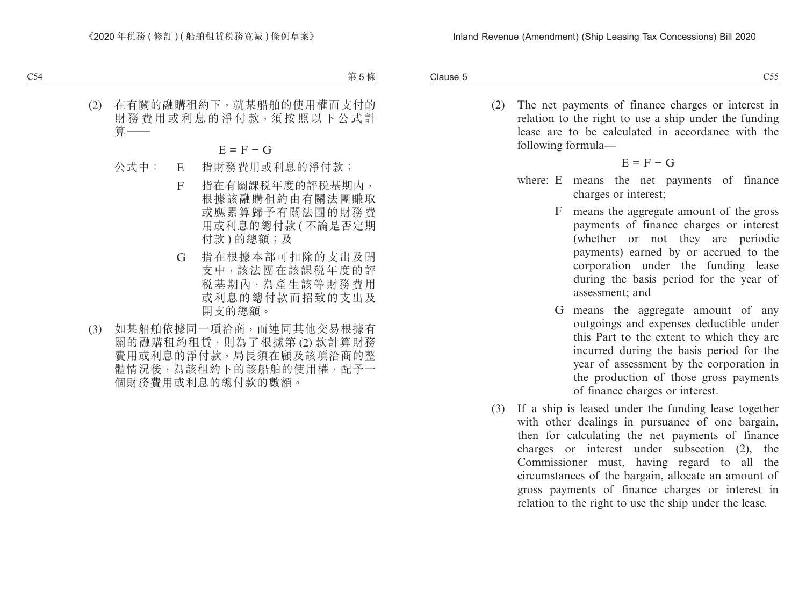Clause 5  $\epsilon$  Clause 5  $\epsilon$  C55

> (2) The net payments of finance charges or interest in relation to the right to use a ship under the funding lease are to be calculated in accordance with the following formula—

$$
E = F - G
$$

- where: E means the net payments of finance charges or interest;
	- F means the aggregate amount of the gross payments of finance charges or interest (whether or not they are periodic payments) earned by or accrued to the corporation under the funding lease during the basis period for the year of assessment; and
	- G means the aggregate amount of any outgoings and expenses deductible under this Part to the extent to which they are incurred during the basis period for the year of assessment by the corporation in the production of those gross payments of finance charges or interest.
- (3) If a ship is leased under the funding lease together with other dealings in pursuance of one bargain, then for calculating the net payments of finance charges or interest under subsection (2), the Commissioner must, having regard to all the circumstances of the bargain, allocate an amount of gross payments of finance charges or interest in relation to the right to use the ship under the lease.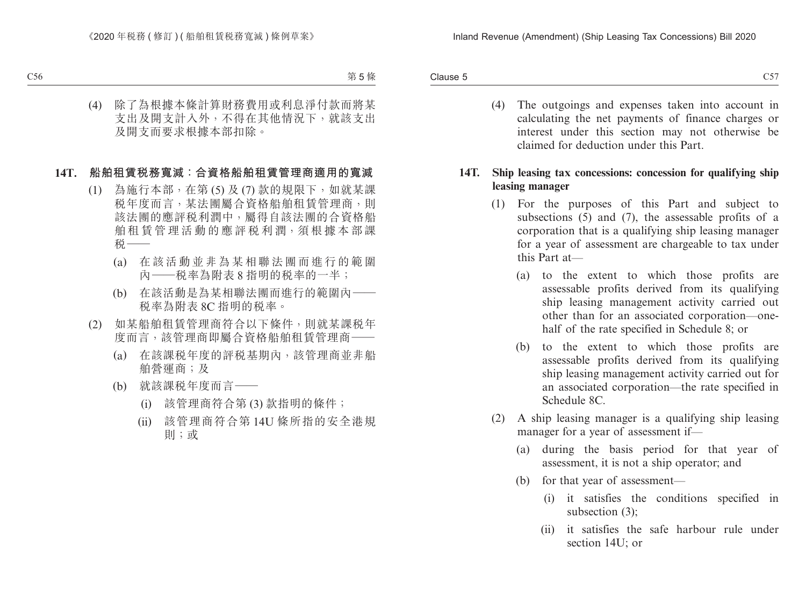Clause 5  $\epsilon$  Clause 5 C57

> (4) The outgoings and expenses taken into account in calculating the net payments of finance charges or interest under this section may not otherwise be claimed for deduction under this Part.

#### **14T. Ship leasing tax concessions: concession for qualifying ship leasing manager**

- (1) For the purposes of this Part and subject to subsections (5) and (7), the assessable profits of a corporation that is a qualifying ship leasing manager for a year of assessment are chargeable to tax under this Part at—
	- (a) to the extent to which those profits are assessable profits derived from its qualifying ship leasing management activity carried out other than for an associated corporation—onehalf of the rate specified in Schedule 8; or
	- (b) to the extent to which those profits are assessable profits derived from its qualifying ship leasing management activity carried out for an associated corporation—the rate specified in Schedule 8C.
- (2) A ship leasing manager is a qualifying ship leasing manager for a year of assessment if—
	- (a) during the basis period for that year of assessment, it is not a ship operator; and
	- (b) for that year of assessment—
		- (i) it satisfies the conditions specified in subsection (3);
		- (ii) it satisfies the safe harbour rule under section 14U; or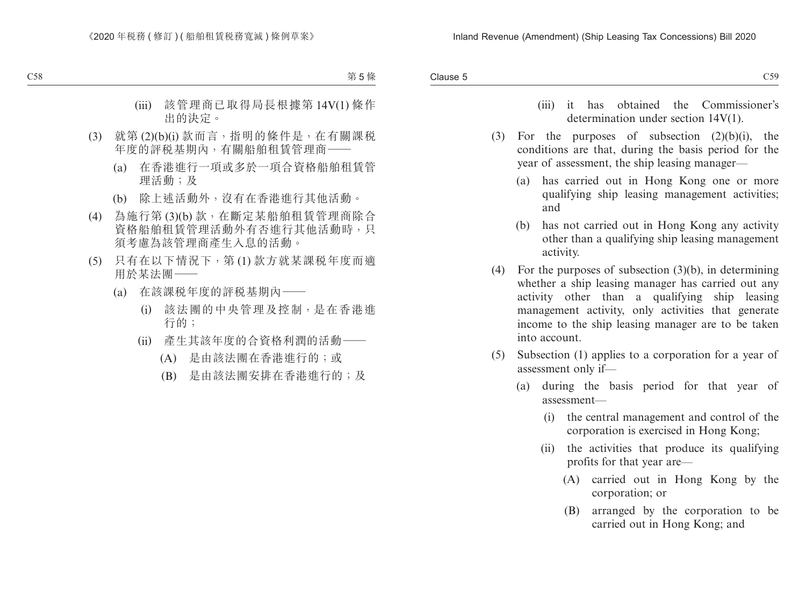- (iii) it has obtained the Commissioner's determination under section 14V(1).
- (3) For the purposes of subsection  $(2)(b)(i)$ , the conditions are that, during the basis period for the year of assessment, the ship leasing manager—
	- (a) has carried out in Hong Kong one or more qualifying ship leasing management activities; and
	- (b) has not carried out in Hong Kong any activity other than a qualifying ship leasing management activity.
- (4) For the purposes of subsection (3)(b), in determining whether a ship leasing manager has carried out any activity other than a qualifying ship leasing management activity, only activities that generate income to the ship leasing manager are to be taken into account.
- (5) Subsection (1) applies to a corporation for a year of assessment only if—
	- (a) during the basis period for that year of assessment—
		- (i) the central management and control of the corporation is exercised in Hong Kong;
		- (ii) the activities that produce its qualifying profits for that year are—
			- (A) carried out in Hong Kong by the corporation; or
			- (B) arranged by the corporation to be carried out in Hong Kong; and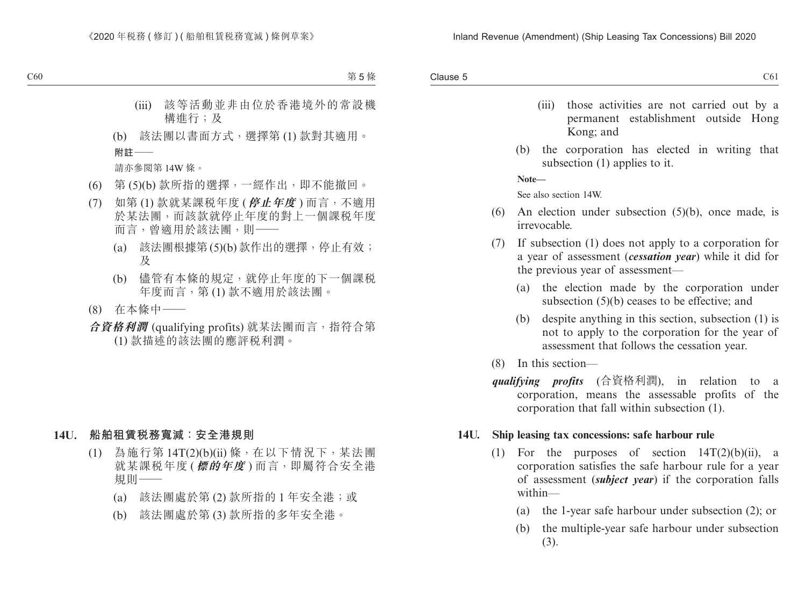- (iii) those activities are not carried out by a permanent establishment outside Hong Kong; and
- (b) the corporation has elected in writing that subsection (1) applies to it.

**Note—**

See also section 14W.

- (6) An election under subsection (5)(b), once made, is irrevocable.
- (7) If subsection (1) does not apply to a corporation for a year of assessment (*cessation year*) while it did for the previous year of assessment—
	- (a) the election made by the corporation under subsection (5)(b) ceases to be effective; and
	- (b) despite anything in this section, subsection (1) is not to apply to the corporation for the year of assessment that follows the cessation year.
- (8) In this section—
- *qualifying profits* (合資格利潤), in relation to a corporation, means the assessable profits of the corporation that fall within subsection (1).

#### **14U. Ship leasing tax concessions: safe harbour rule**

- (1) For the purposes of section  $14T(2)(b)(ii)$ , a corporation satisfies the safe harbour rule for a year of assessment (*subject year*) if the corporation falls within—
	- (a) the 1-year safe harbour under subsection (2); or
	- (b) the multiple-year safe harbour under subsection (3).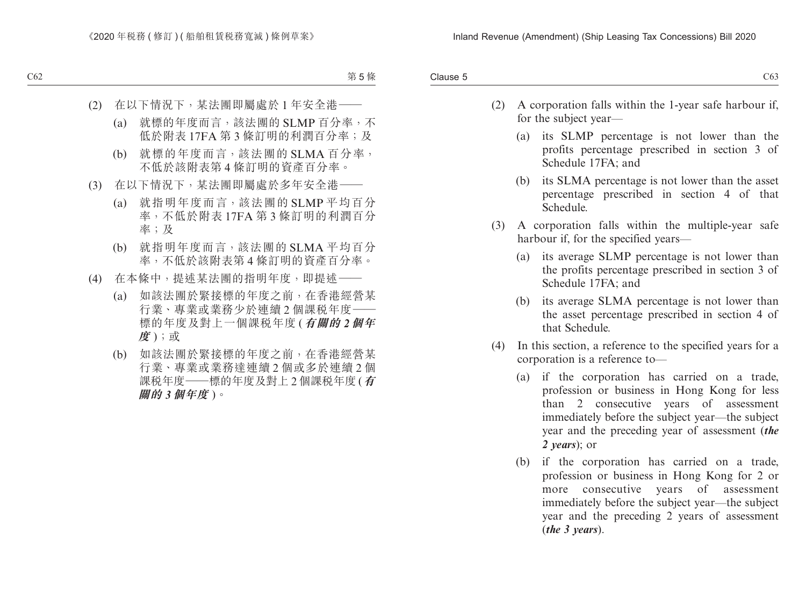- (2) A corporation falls within the 1-year safe harbour if, for the subject year—
	- (a) its SLMP percentage is not lower than the profits percentage prescribed in section 3 of Schedule 17FA; and
	- (b) its SLMA percentage is not lower than the asset percentage prescribed in section 4 of that Schedule.
- (3) A corporation falls within the multiple-year safe harbour if, for the specified years—
	- (a) its average SLMP percentage is not lower than the profits percentage prescribed in section 3 of Schedule 17FA; and
	- (b) its average SLMA percentage is not lower than the asset percentage prescribed in section 4 of that Schedule.
- (4) In this section, a reference to the specified years for a corporation is a reference to—
	- (a) if the corporation has carried on a trade, profession or business in Hong Kong for less than 2 consecutive years of assessment immediately before the subject year—the subject year and the preceding year of assessment (*the 2 years*); or
	- (b) if the corporation has carried on a trade, profession or business in Hong Kong for 2 or more consecutive years of assessment immediately before the subject year—the subject year and the preceding 2 years of assessment (*the 3 years*).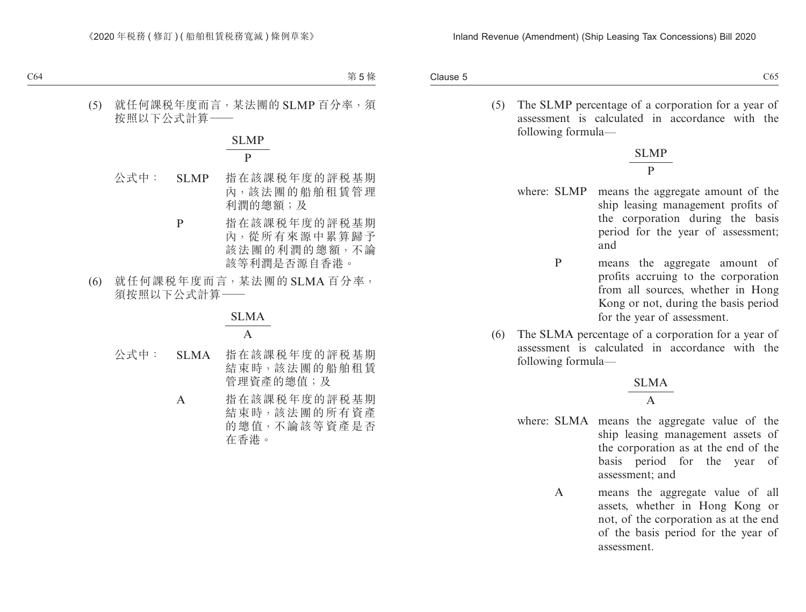Clause 5  $C1$  Clause 5  $C65$ 

> (5) The SLMP percentage of a corporation for a year of assessment is calculated in accordance with the following formula—

> > SLMP P

- where: SLMP means the aggregate amount of the ship leasing management profits of the corporation during the basis period for the year of assessment; and
	- P means the aggregate amount of profits accruing to the corporation from all sources, whether in Hong Kong or not, during the basis period for the year of assessment.
- (6) The SLMA percentage of a corporation for a year of assessment is calculated in accordance with the following formula—

$$
\frac{\text{SLMA}}{\text{A}}
$$

- where: SLMA means the aggregate value of the ship leasing management assets of the corporation as at the end of the basis period for the year of assessment; and
	- A means the aggregate value of all assets, whether in Hong Kong or not, of the corporation as at the end of the basis period for the year of assessment.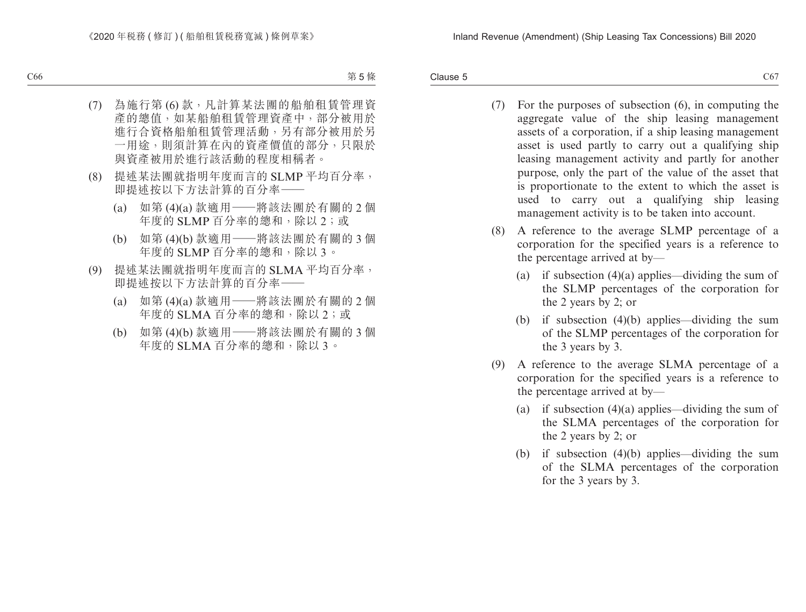Clause 5  $C4$  Clause 5  $C67$ 

- (7) For the purposes of subsection (6), in computing the aggregate value of the ship leasing management assets of a corporation, if a ship leasing management asset is used partly to carry out a qualifying ship leasing management activity and partly for another purpose, only the part of the value of the asset that is proportionate to the extent to which the asset is used to carry out a qualifying ship leasing management activity is to be taken into account.
- (8) A reference to the average SLMP percentage of a corporation for the specified years is a reference to the percentage arrived at by—
	- (a) if subsection  $(4)(a)$  applies—dividing the sum of the SLMP percentages of the corporation for the 2 years by 2; or
	- (b) if subsection (4)(b) applies—dividing the sum of the SLMP percentages of the corporation for the 3 years by 3.
- (9) A reference to the average SLMA percentage of a corporation for the specified years is a reference to the percentage arrived at by—
	- (a) if subsection  $(4)(a)$  applies—dividing the sum of the SLMA percentages of the corporation for the 2 years by 2; or
	- (b) if subsection (4)(b) applies—dividing the sum of the SLMA percentages of the corporation for the 3 years by 3.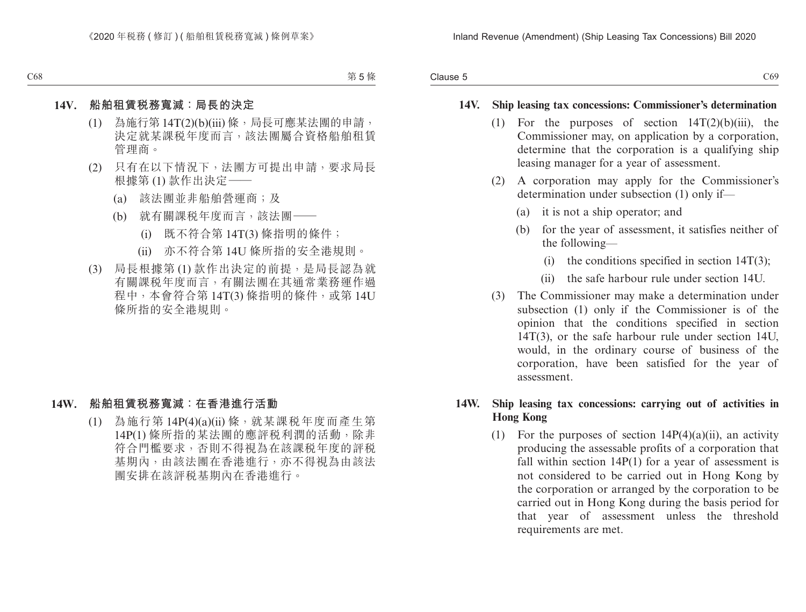#### **14V. Ship leasing tax concessions: Commissioner's determination**

- (1) For the purposes of section  $14T(2)(b)(iii)$ , the Commissioner may, on application by a corporation, determine that the corporation is a qualifying ship leasing manager for a year of assessment.
- (2) A corporation may apply for the Commissioner's determination under subsection (1) only if—
	- (a) it is not a ship operator; and
	- (b) for the year of assessment, it satisfies neither of the following—
		- (i) the conditions specified in section  $14T(3)$ ;
		- (ii) the safe harbour rule under section 14U.
- (3) The Commissioner may make a determination under subsection (1) only if the Commissioner is of the opinion that the conditions specified in section 14T(3), or the safe harbour rule under section 14U, would, in the ordinary course of business of the corporation, have been satisfied for the year of assessment.

#### **14W. Ship leasing tax concessions: carrying out of activities in Hong Kong**

(1) For the purposes of section  $14P(4)(a)(ii)$ , an activity producing the assessable profits of a corporation that fall within section 14P(1) for a year of assessment is not considered to be carried out in Hong Kong by the corporation or arranged by the corporation to be carried out in Hong Kong during the basis period for that year of assessment unless the threshold requirements are met.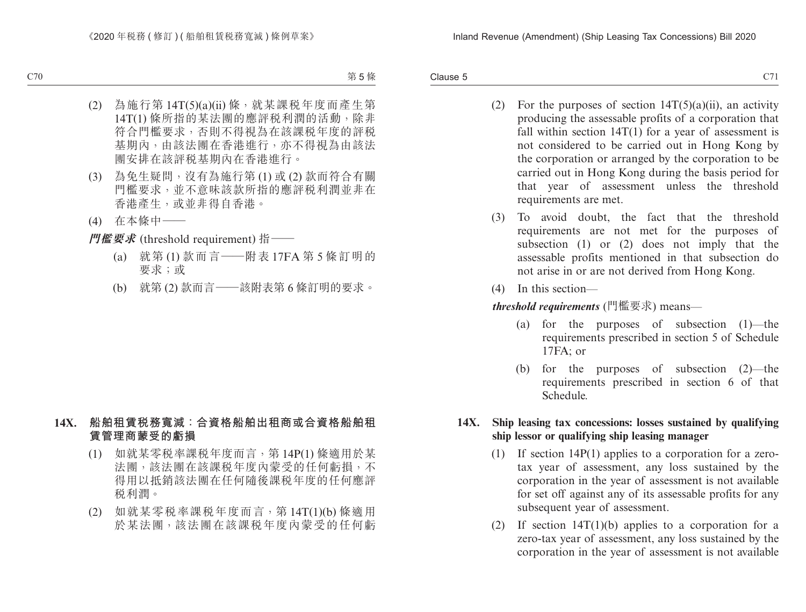Clause 5  $C1$  Clause 5  $C21$ 

- (2) For the purposes of section  $14T(5)(a)(ii)$ , an activity producing the assessable profits of a corporation that fall within section  $14T(1)$  for a year of assessment is not considered to be carried out in Hong Kong by the corporation or arranged by the corporation to be carried out in Hong Kong during the basis period for that year of assessment unless the threshold requirements are met.
- (3) To avoid doubt, the fact that the threshold requirements are not met for the purposes of subsection (1) or (2) does not imply that the assessable profits mentioned in that subsection do not arise in or are not derived from Hong Kong.
- (4) In this section—

*threshold requirements* (門檻要求) means—

- (a) for the purposes of subsection (1)—the requirements prescribed in section 5 of Schedule 17FA; or
- (b) for the purposes of subsection (2)—the requirements prescribed in section 6 of that Schedule.

#### **14X. Ship leasing tax concessions: losses sustained by qualifying ship lessor or qualifying ship leasing manager**

- (1) If section 14P(1) applies to a corporation for a zerotax year of assessment, any loss sustained by the corporation in the year of assessment is not available for set off against any of its assessable profits for any subsequent year of assessment.
- (2) If section  $14T(1)(b)$  applies to a corporation for a zero-tax year of assessment, any loss sustained by the corporation in the year of assessment is not available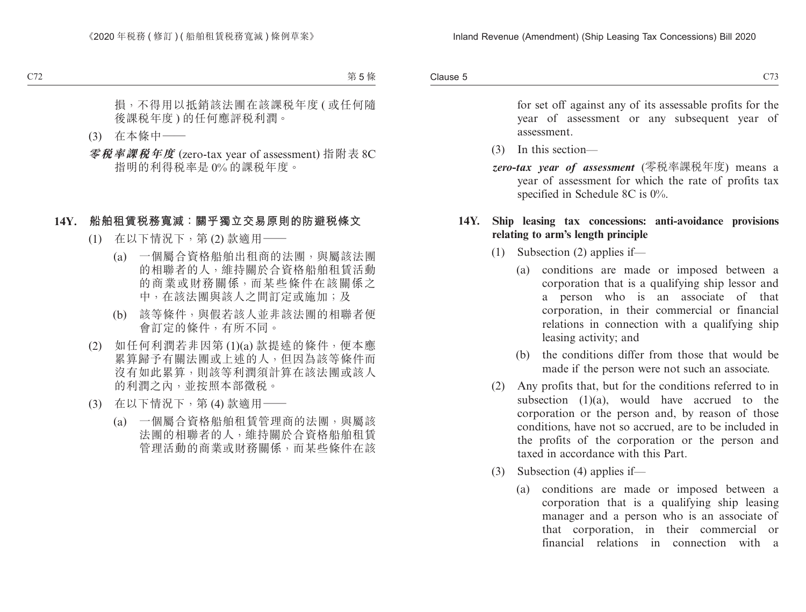Clause 5 Clause 5 and 200 and 200 and 200 and 200 and 200 and 200 and 200 and 200 and 200 and 200 and 200 and 200 and 20

> for set off against any of its assessable profits for the year of assessment or any subsequent year of assessment.

- (3) In this section—
- *zero-tax year of assessment* (零稅率課稅年度) means a year of assessment for which the rate of profits tax specified in Schedule 8C is 0%.

#### **14Y. Ship leasing tax concessions: anti-avoidance provisions relating to arm's length principle**

- (1) Subsection (2) applies if—
	- (a) conditions are made or imposed between a corporation that is a qualifying ship lessor and a person who is an associate of that corporation, in their commercial or financial relations in connection with a qualifying ship leasing activity; and
	- (b) the conditions differ from those that would be made if the person were not such an associate.
- (2) Any profits that, but for the conditions referred to in subsection  $(1)(a)$ , would have accrued to the corporation or the person and, by reason of those conditions, have not so accrued, are to be included in the profits of the corporation or the person and taxed in accordance with this Part.
- (3) Subsection (4) applies if—
	- (a) conditions are made or imposed between a corporation that is a qualifying ship leasing manager and a person who is an associate of that corporation, in their commercial or financial relations in connection with a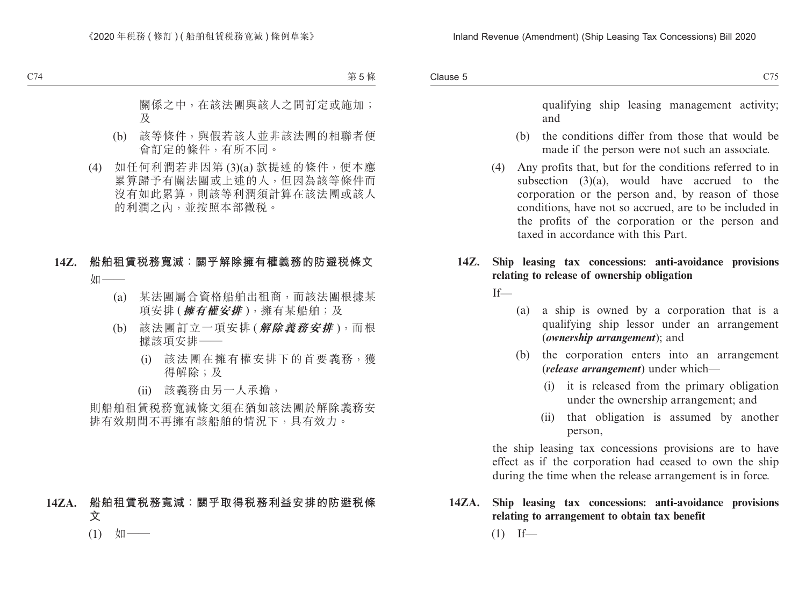qualifying ship leasing management activity; and

- (b) the conditions differ from those that would be made if the person were not such an associate.
- (4) Any profits that, but for the conditions referred to in subsection (3)(a), would have accrued to the corporation or the person and, by reason of those conditions, have not so accrued, are to be included in the profits of the corporation or the person and taxed in accordance with this Part.

#### **14Z. Ship leasing tax concessions: anti-avoidance provisions relating to release of ownership obligation**

If—

- (a) a ship is owned by a corporation that is a qualifying ship lessor under an arrangement (*ownership arrangement*); and
- (b) the corporation enters into an arrangement (*release arrangement*) under which—
	- (i) it is released from the primary obligation under the ownership arrangement; and
	- (ii) that obligation is assumed by another person,

the ship leasing tax concessions provisions are to have effect as if the corporation had ceased to own the ship during the time when the release arrangement is in force.

**14ZA. Ship leasing tax concessions: anti-avoidance provisions relating to arrangement to obtain tax benefit**  $(1)$  If—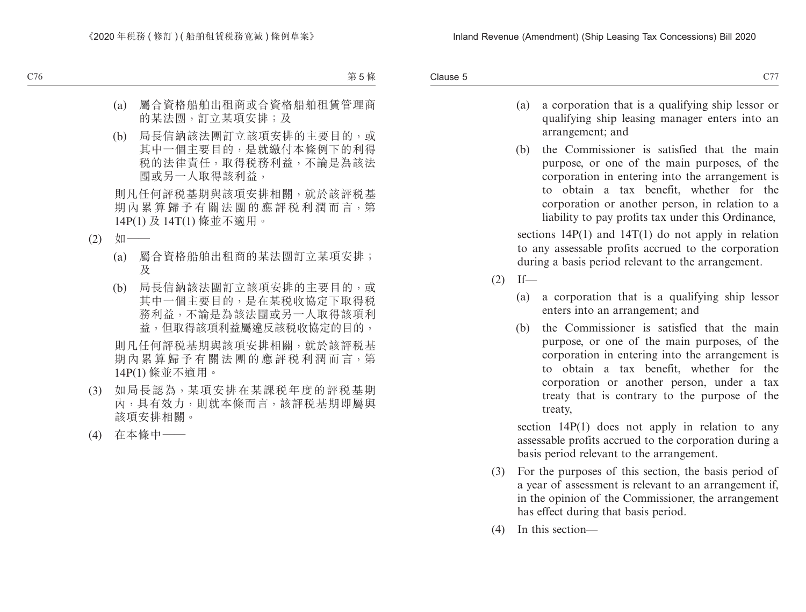- (a) a corporation that is a qualifying ship lessor or qualifying ship leasing manager enters into an arrangement; and
- (b) the Commissioner is satisfied that the main purpose, or one of the main purposes, of the corporation in entering into the arrangement is to obtain a tax benefit, whether for the corporation or another person, in relation to a liability to pay profits tax under this Ordinance,

sections  $14P(1)$  and  $14T(1)$  do not apply in relation to any assessable profits accrued to the corporation during a basis period relevant to the arrangement.

- $(2)$  If—
	- (a) a corporation that is a qualifying ship lessor enters into an arrangement; and
	- (b) the Commissioner is satisfied that the main purpose, or one of the main purposes, of the corporation in entering into the arrangement is to obtain a tax benefit, whether for the corporation or another person, under a tax treaty that is contrary to the purpose of the treaty,

section 14P(1) does not apply in relation to any assessable profits accrued to the corporation during a basis period relevant to the arrangement.

- (3) For the purposes of this section, the basis period of a year of assessment is relevant to an arrangement if, in the opinion of the Commissioner, the arrangement has effect during that basis period.
- (4) In this section—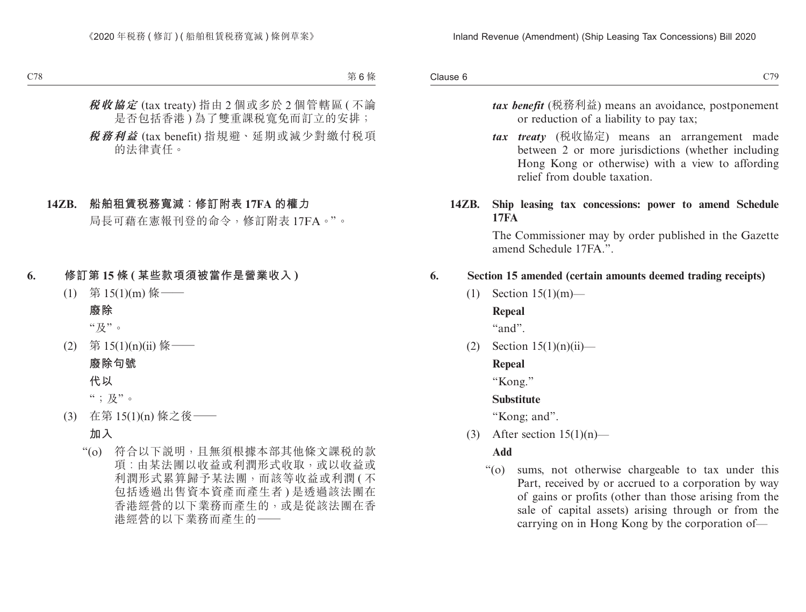Clause 6 Clause 6 and 200 and 200 and 200 and 200 and 200 and 200 and 200 and 200 and 200 and 200 and 200 and 200 and 20

- *tax benefit* (稅務利益) means an avoidance, postponement or reduction of a liability to pay tax;
- *tax treaty* (稅收協定) means an arrangement made between 2 or more jurisdictions (whether including Hong Kong or otherwise) with a view to affording relief from double taxation.

#### **14ZB. Ship leasing tax concessions: power to amend Schedule 17FA**

The Commissioner may by order published in the Gazette amend Schedule 17FA<sup>"</sup>.

#### **6. Section 15 amended (certain amounts deemed trading receipts)**

(1) Section 15(1)(m)—

#### **Repeal**

"and".

 $(2)$  Section  $15(1)(n)(ii)$ —

#### **Repeal**

"Kong."

#### **Substitute**

"Kong; and".

(3) After section  $15(1)(n)$ —

#### **Add**

"(o) sums, not otherwise chargeable to tax under this Part, received by or accrued to a corporation by way of gains or profits (other than those arising from the sale of capital assets) arising through or from the carrying on in Hong Kong by the corporation of—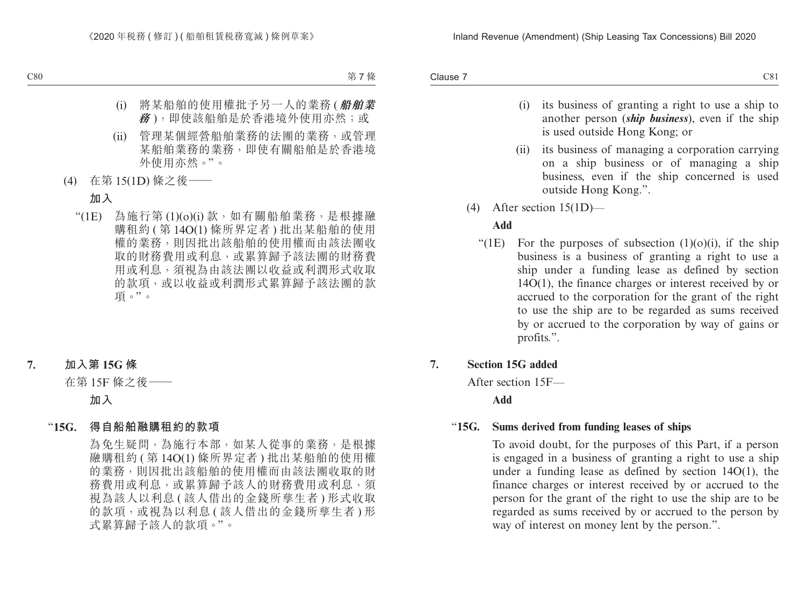Clause 7 Clause 7 C81

- (i) its business of granting a right to use a ship to another person (*ship business*), even if the ship is used outside Hong Kong; or
- (ii) its business of managing a corporation carrying on a ship business or of managing a ship business, even if the ship concerned is used outside Hong Kong.".
- (4) After section 15(1D)—

#### **Add**

"(1E) For the purposes of subsection  $(1)(0)(i)$ , if the ship business is a business of granting a right to use a ship under a funding lease as defined by section 14O(1), the finance charges or interest received by or accrued to the corporation for the grant of the right to use the ship are to be regarded as sums received by or accrued to the corporation by way of gains or profits.".

#### **7. Section 15G added**

After section 15F—

**Add**

#### "**15G. Sums derived from funding leases of ships**

To avoid doubt, for the purposes of this Part, if a person is engaged in a business of granting a right to use a ship under a funding lease as defined by section 14O(1), the finance charges or interest received by or accrued to the person for the grant of the right to use the ship are to be regarded as sums received by or accrued to the person by way of interest on money lent by the person.".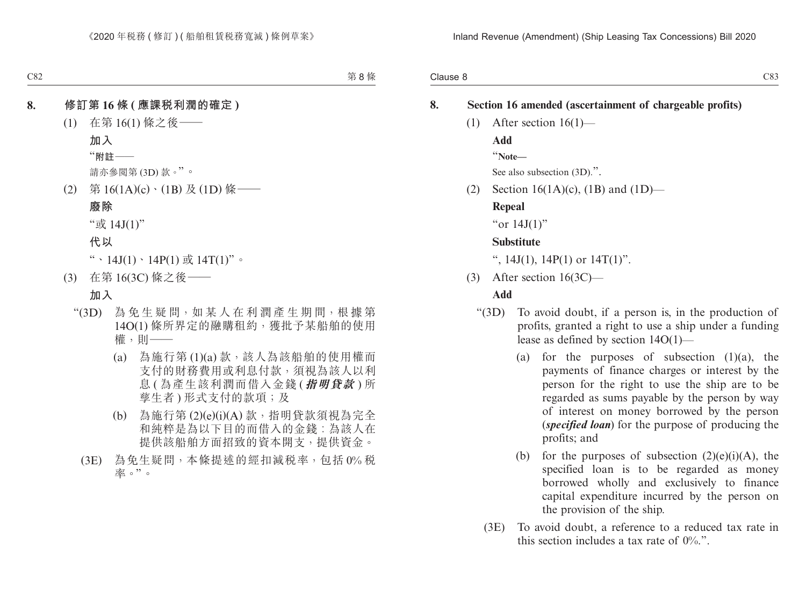Clause 8 Clause 8 and 2012 and 2012 and 2012 and 2012 and 2012 and 2012 and 2012 and 2013 and 2013 and 2013 and 2013 and 2013

| 8. | Section 16 amended (ascertainment of chargeable profits) |                                   |                                                                                                                                                                                                                                                                                                                           |  |  |
|----|----------------------------------------------------------|-----------------------------------|---------------------------------------------------------------------------------------------------------------------------------------------------------------------------------------------------------------------------------------------------------------------------------------------------------------------------|--|--|
|    | (1)                                                      |                                   | After section $16(1)$ —                                                                                                                                                                                                                                                                                                   |  |  |
|    |                                                          | Add                               |                                                                                                                                                                                                                                                                                                                           |  |  |
|    |                                                          | "Note-                            |                                                                                                                                                                                                                                                                                                                           |  |  |
|    |                                                          | See also subsection (3D).".       |                                                                                                                                                                                                                                                                                                                           |  |  |
|    | (2)                                                      | Section 16(1A)(c), (1B) and (1D)— |                                                                                                                                                                                                                                                                                                                           |  |  |
|    |                                                          | Repeal                            |                                                                                                                                                                                                                                                                                                                           |  |  |
|    |                                                          | "or $14J(1)$ "                    |                                                                                                                                                                                                                                                                                                                           |  |  |
|    |                                                          | <b>Substitute</b>                 |                                                                                                                                                                                                                                                                                                                           |  |  |
|    |                                                          |                                   | ", 14J(1), 14P(1) or $14T(1)$ ".                                                                                                                                                                                                                                                                                          |  |  |
|    | (3)                                                      |                                   | After section $16(3C)$ —                                                                                                                                                                                                                                                                                                  |  |  |
|    |                                                          | Add                               |                                                                                                                                                                                                                                                                                                                           |  |  |
|    |                                                          | " $(3D)$                          | To avoid doubt, if a person is, in the production of<br>profits, granted a right to use a ship under a funding<br>lease as defined by section $14O(1)$ —                                                                                                                                                                  |  |  |
|    |                                                          | (a)                               | for the purposes of subsection $(1)(a)$ ,<br>the<br>payments of finance charges or interest by the<br>person for the right to use the ship are to be<br>regarded as sums payable by the person by way<br>of interest on money borrowed by the person<br>(specified loan) for the purpose of producing the<br>profits; and |  |  |
|    |                                                          | (b)                               | for the purposes of subsection $(2)(e)(i)(A)$ , the<br>specified loan is to be regarded as money<br>borrowed wholly and exclusively to finance<br>capital expenditure incurred by the person on<br>the provision of the ship.                                                                                             |  |  |

(3E) To avoid doubt, a reference to a reduced tax rate in this section includes a tax rate of 0%.".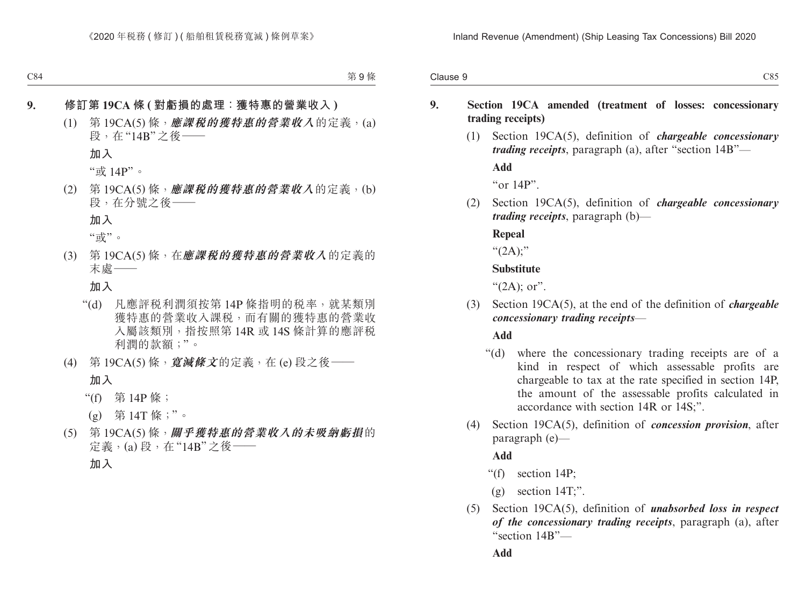#### **9. Section 19CA amended (treatment of losses: concessionary trading receipts)**

(1) Section 19CA(5), definition of *chargeable concessionary trading receipts*, paragraph (a), after "section 14B"—

**Add**

"or 14P".

(2) Section 19CA(5), definition of *chargeable concessionary trading receipts*, paragraph (b)—

**Repeal**

 $``(2A)$ ;"

#### **Substitute**

" $(2A)$ ; or".

(3) Section 19CA(5), at the end of the definition of *chargeable concessionary trading receipts*—

**Add**

- "(d) where the concessionary trading receipts are of a kind in respect of which assessable profits are chargeable to tax at the rate specified in section 14P, the amount of the assessable profits calculated in accordance with section 14R or 14S;".
- (4) Section 19CA(5), definition of *concession provision*, after paragraph (e)—

#### **Add**

- "(f) section 14P;
- $(g)$  section 14T;".
- (5) Section 19CA(5), definition of *unabsorbed loss in respect of the concessionary trading receipts*, paragraph (a), after "section 14B"—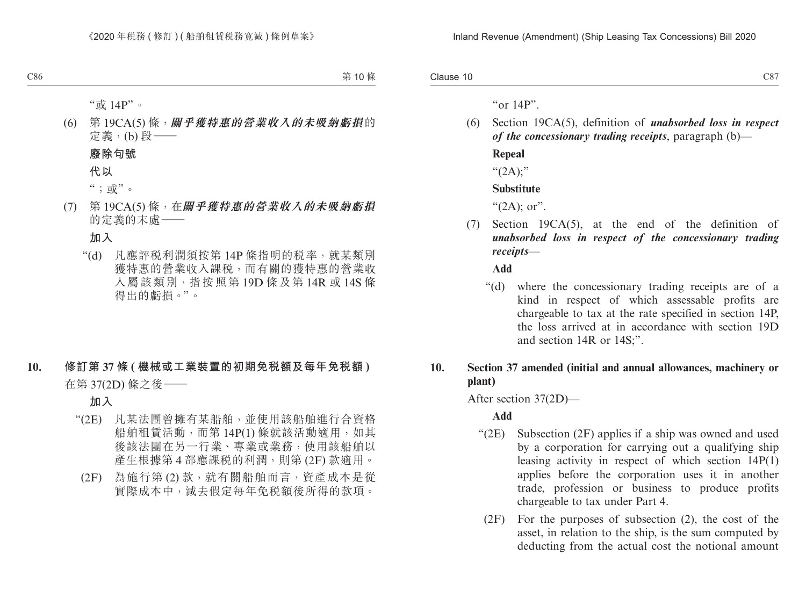Clause 10  $\alpha$  Clause 10  $\alpha$  C87

" $\alpha$ r 14P".

(6) Section 19CA(5), definition of *unabsorbed loss in respect of the concessionary trading receipts*, paragraph (b)— **Repeal** " $(2A)$ ;"

#### **Substitute**

" $(2A)$ ; or".

(7) Section 19CA(5), at the end of the definition of *unabsorbed loss in respect of the concessionary trading receipts*—

**Add**

"(d) where the concessionary trading receipts are of a kind in respect of which assessable profits are chargeable to tax at the rate specified in section 14P, the loss arrived at in accordance with section 19D and section 14R or 14S;".

#### **10. Section 37 amended (initial and annual allowances, machinery or plant)**

After section 37(2D)—

**Add**

- "(2E) Subsection (2F) applies if a ship was owned and used by a corporation for carrying out a qualifying ship leasing activity in respect of which section 14P(1) applies before the corporation uses it in another trade, profession or business to produce profits chargeable to tax under Part 4.
	- (2F) For the purposes of subsection (2), the cost of the asset, in relation to the ship, is the sum computed by deducting from the actual cost the notional amount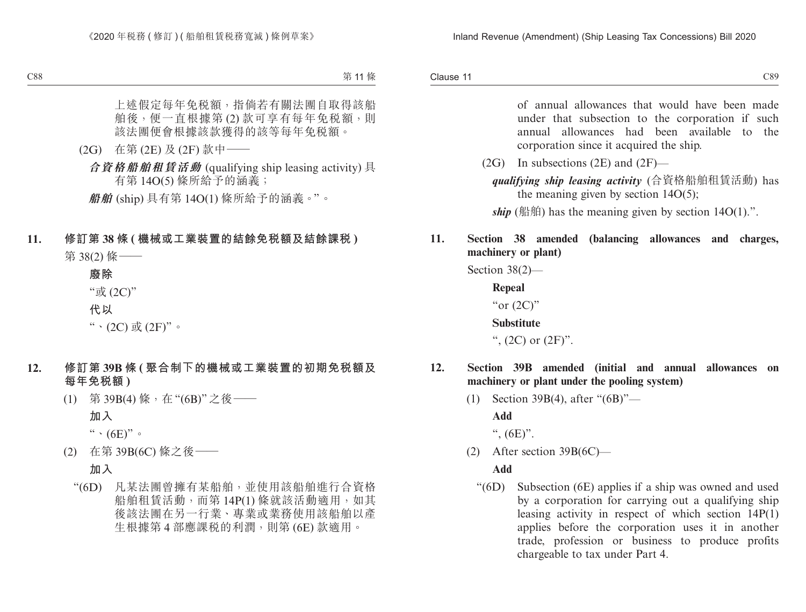Clause 11 Clause 11 and 200 and 200 and 200 and 200 and 200 and 200 and 200 and 200 and 200 and 200 and 200 and 200 and

> of annual allowances that would have been made under that subsection to the corporation if such annual allowances had been available to the corporation since it acquired the ship.

 $(2G)$  In subsections  $(2E)$  and  $(2F)$ —

*qualifying ship leasing activity* (合資格船舶租賃活動) has the meaning given by section  $14O(5)$ ;

*ship* (船舶) has the meaning given by section  $14O(1)$ .".

### **11. Section 38 amended (balancing allowances and charges, machinery or plant)**

Section 38(2)—

**Repeal** "or  $(2C)$ "

**Substitute**

",  $(2C)$  or  $(2F)$ ".

#### **12. Section 39B amended (initial and annual allowances on machinery or plant under the pooling system)**

(1) Section 39B(4), after "(6B)"—

**Add**

",  $(6E)$ ".

(2) After section 39B(6C)—

#### **Add**

"(6D) Subsection (6E) applies if a ship was owned and used by a corporation for carrying out a qualifying ship leasing activity in respect of which section 14P(1) applies before the corporation uses it in another trade, profession or business to produce profits chargeable to tax under Part 4.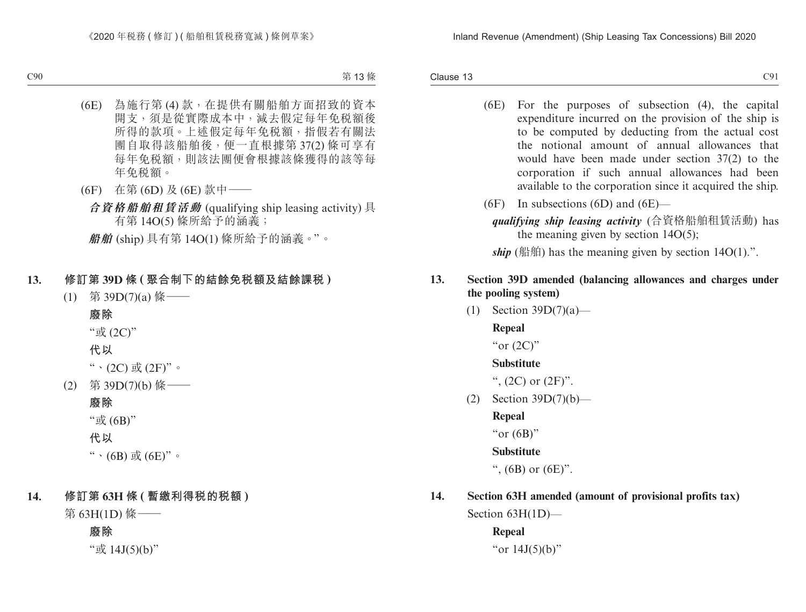Clause 13  $C$ lause 13  $C$ 91

- (6E) For the purposes of subsection (4), the capital expenditure incurred on the provision of the ship is to be computed by deducting from the actual cost the notional amount of annual allowances that would have been made under section 37(2) to the corporation if such annual allowances had been available to the corporation since it acquired the ship.
- (6F) In subsections (6D) and (6E)
	- *qualifying ship leasing activity* (合資格船舶租賃活動) has the meaning given by section  $14O(5)$ ;

*ship* (船舶) has the meaning given by section  $14O(1)$ .".

#### **13. Section 39D amended (balancing allowances and charges under the pooling system)**

(1) Section 39D(7)(a)—

**Repeal**

"or  $(2C)$ "

#### **Substitute**

",  $(2C)$  or  $(2F)$ ".

(2) Section 39D(7)(b)—

**Repeal**

"or  $(6B)$ "

**Substitute**

",  $(6B)$  or  $(6E)$ ".

## **14. Section 63H amended (amount of provisional profits tax)**

Section 63H(1D)—

**Repeal** "or 14J(5)(b)"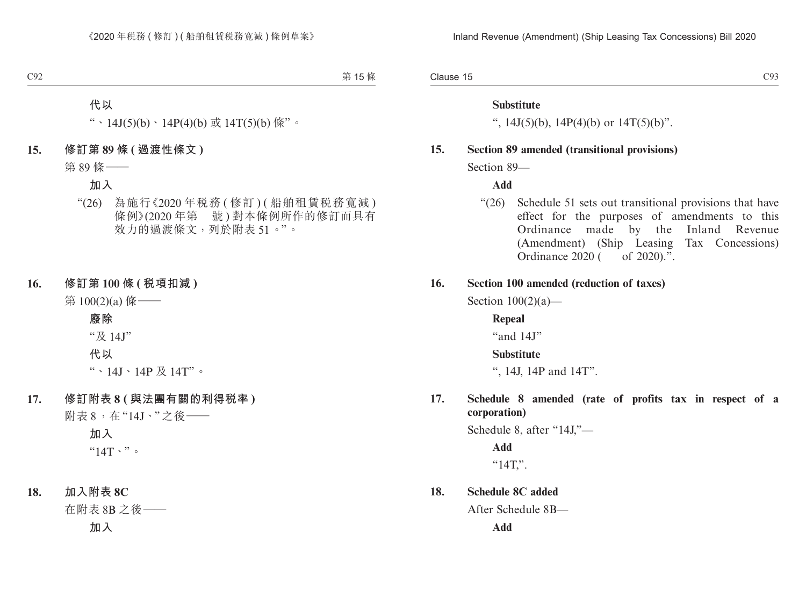Clause 15  $\alpha$  Clause 15 C93

#### **Substitute**

",  $14J(5)(b)$ ,  $14P(4)(b)$  or  $14T(5)(b)$ ".

#### **15. Section 89 amended (transitional provisions)**

Section 89—

**Add**

"(26) Schedule 51 sets out transitional provisions that have effect for the purposes of amendments to this Ordinance made by the Inland Revenue (Amendment) (Ship Leasing Tax Concessions) Ordinance 2020 ( of 2020).".

#### **16. Section 100 amended (reduction of taxes)**

Section  $100(2)(a)$ —

**Repeal** "and 14J" **Substitute**

", 14J, 14P and 14T".

**17. Schedule 8 amended (rate of profits tax in respect of a corporation)**

Schedule 8, after "14J,"—

**Add**  $"14T."$ .

**18. Schedule 8C added**

After Schedule 8B—

**Add**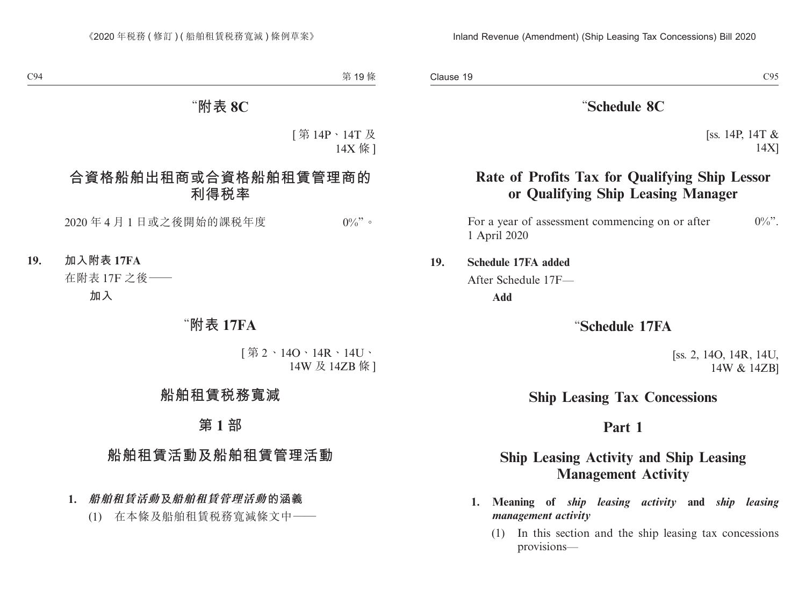#### "**Schedule 8C**

[ss. 14P, 14T & 14X]

## **Rate of Profits Tax for Qualifying Ship Lessor or Qualifying Ship Leasing Manager**

For a year of assessment commencing on or after  $0\%$ ". 1 April 2020

#### **19. Schedule 17FA added**

After Schedule 17F—

**Add**

#### "**Schedule 17FA**

[ss. 2, 14O, 14R, 14U, 14W & 14ZB]

## **Ship Leasing Tax Concessions**

## **Part 1**

## **Ship Leasing Activity and Ship Leasing Management Activity**

- **1. Meaning of** *ship leasing activity* **and** *ship leasing management activity*
	- (1) In this section and the ship leasing tax concessions provisions—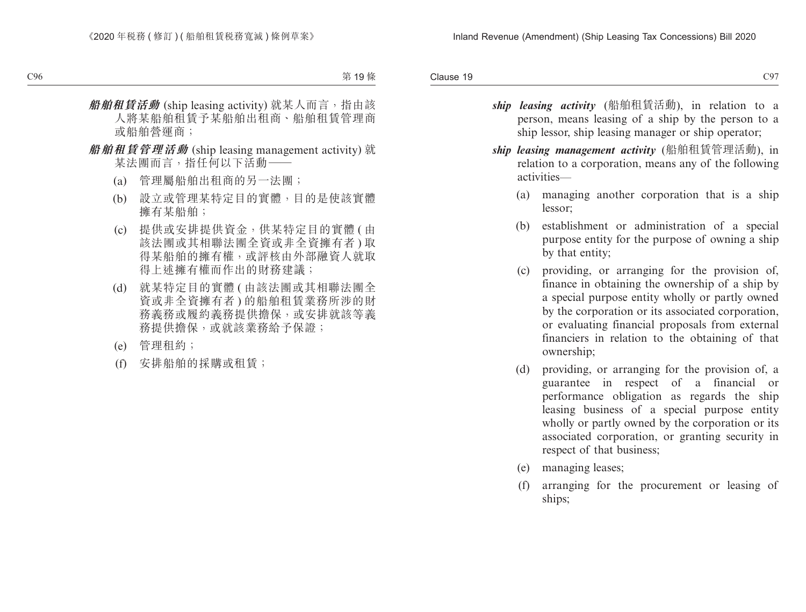Clause 19  $C$ lause 19 $C$ 97

- *ship leasing activity* (船舶租賃活動), in relation to a person, means leasing of a ship by the person to a ship lessor, ship leasing manager or ship operator;
- *ship leasing management activity* (船舶租賃管理活動), in relation to a corporation, means any of the following activities—
	- (a) managing another corporation that is a ship lessor;
	- (b) establishment or administration of a special purpose entity for the purpose of owning a ship by that entity;
	- (c) providing, or arranging for the provision of, finance in obtaining the ownership of a ship by a special purpose entity wholly or partly owned by the corporation or its associated corporation, or evaluating financial proposals from external financiers in relation to the obtaining of that ownership;
	- (d) providing, or arranging for the provision of, a guarantee in respect of a financial or performance obligation as regards the ship leasing business of a special purpose entity wholly or partly owned by the corporation or its associated corporation, or granting security in respect of that business;
	- (e) managing leases;
	- (f) arranging for the procurement or leasing of ships;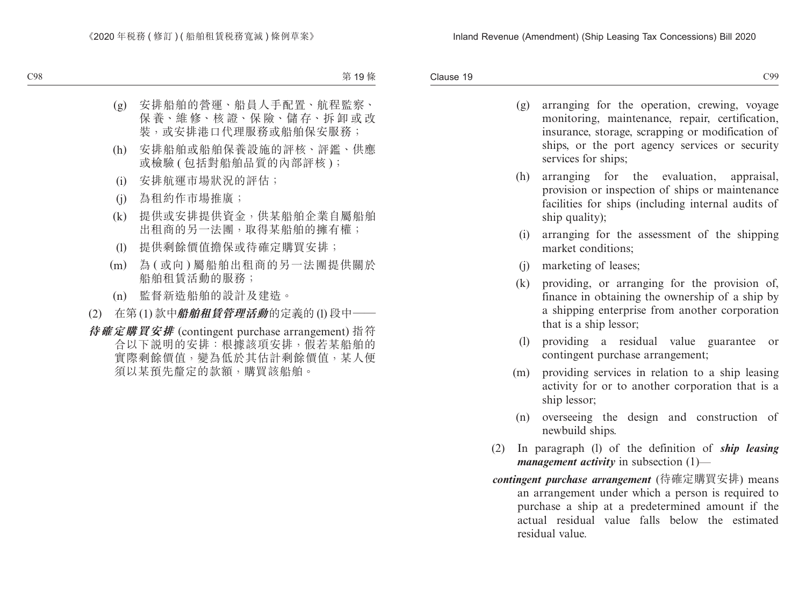Clause 19 Clause 19 and 200 and 200 and 200 and 200 and 200 and 200 and 200 and 200 and 200 and 200 and 200 and 200 and

- (g) arranging for the operation, crewing, voyage monitoring, maintenance, repair, certification, insurance, storage, scrapping or modification of ships, or the port agency services or security services for ships;
- (h) arranging for the evaluation, appraisal, provision or inspection of ships or maintenance facilities for ships (including internal audits of ship quality);
- (i) arranging for the assessment of the shipping market conditions;
- (j) marketing of leases;
- (k) providing, or arranging for the provision of, finance in obtaining the ownership of a ship by a shipping enterprise from another corporation that is a ship lessor;
- (l) providing a residual value guarantee or contingent purchase arrangement;
- (m) providing services in relation to a ship leasing activity for or to another corporation that is a ship lessor;
- (n) overseeing the design and construction of newbuild ships.
- (2) In paragraph (l) of the definition of *ship leasing management activity* in subsection (1)—
- *contingent purchase arrangement* (待確定購買安排) means an arrangement under which a person is required to purchase a ship at a predetermined amount if the actual residual value falls below the estimated residual value.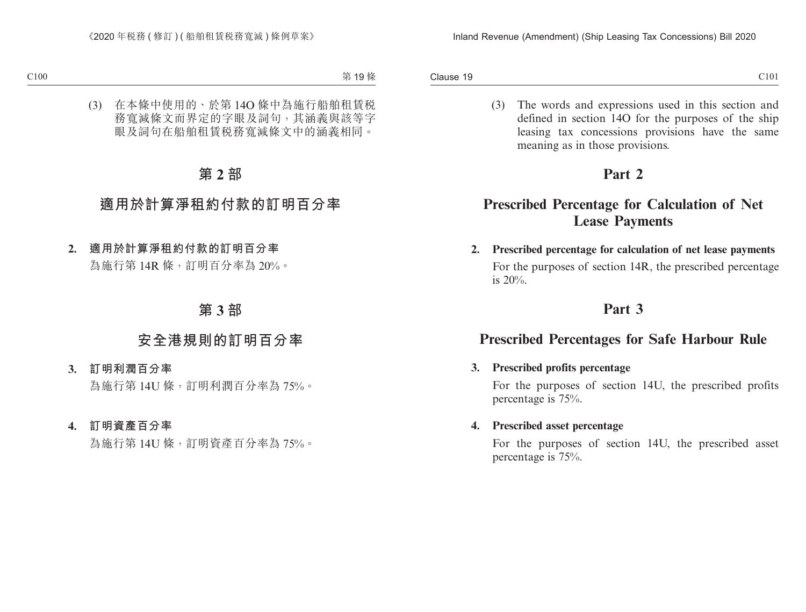Clause 19 Clause 19 and 200 and 200 and 200 and 200 and 200 and 200 and 200 and 200 and 200 and 200 and 200 and 200 and 200 and 200 and 200 and 200 and 200 and 200 and 200 and 200 and 200 and 200 and 200 and 200 and 200 and 200 and

- 
- (3) The words and expressions used in this section and defined in section 14O for the purposes of the ship leasing tax concessions provisions have the same meaning as in those provisions.

## **Part 2**

## **Prescribed Percentage for Calculation of Net Lease Payments**

**2. Prescribed percentage for calculation of net lease payments** For the purposes of section 14R, the prescribed percentage is 20%.

## **Part 3**

## **Prescribed Percentages for Safe Harbour Rule**

#### **3. Prescribed profits percentage**

For the purposes of section 14U, the prescribed profits percentage is 75%.

#### **4. Prescribed asset percentage**

For the purposes of section 14U, the prescribed asset percentage is 75%.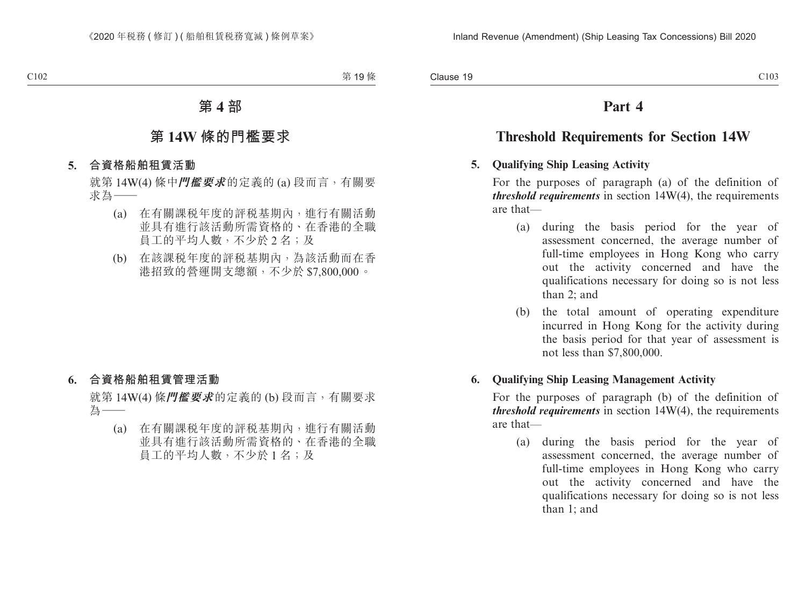## **Part 4**

## **Threshold Requirements for Section 14W**

#### **5. Qualifying Ship Leasing Activity**

For the purposes of paragraph (a) of the definition of *threshold requirements* in section 14W(4), the requirements are that—

- (a) during the basis period for the year of assessment concerned, the average number of full-time employees in Hong Kong who carry out the activity concerned and have the qualifications necessary for doing so is not less than 2; and
- (b) the total amount of operating expenditure incurred in Hong Kong for the activity during the basis period for that year of assessment is not less than \$7,800,000.

#### **6. Qualifying Ship Leasing Management Activity**

For the purposes of paragraph (b) of the definition of *threshold requirements* in section 14W(4), the requirements are that—

(a) during the basis period for the year of assessment concerned, the average number of full-time employees in Hong Kong who carry out the activity concerned and have the qualifications necessary for doing so is not less than 1; and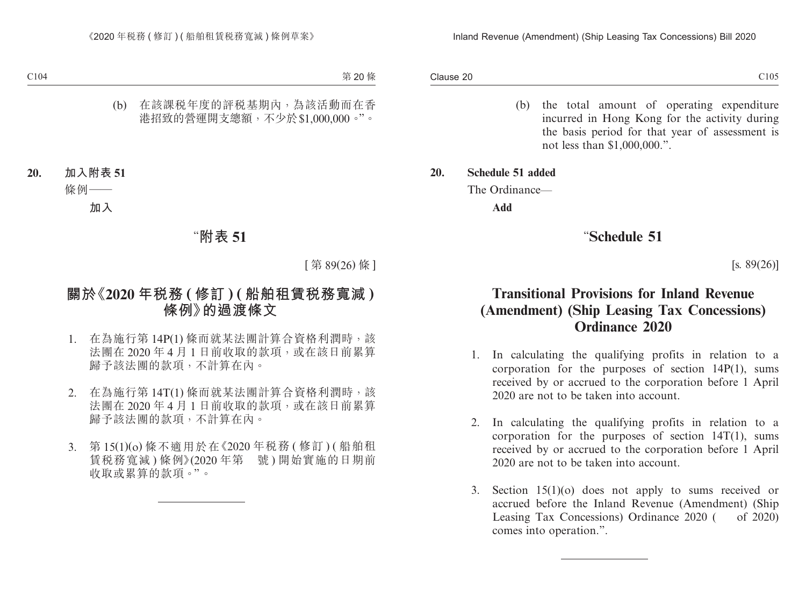Clause 20 Clause 20  $\hbox{C105}$ 

- (b) the total amount of operating expenditure incurred in Hong Kong for the activity during the basis period for that year of assessment is not less than \$1,000,000.".
- **20. Schedule 51 added**

The Ordinance—

**Add**

## "**Schedule 51**

 $[s. 89(26)]$ 

## **Transitional Provisions for Inland Revenue (Amendment) (Ship Leasing Tax Concessions) Ordinance 2020**

- 1. In calculating the qualifying profits in relation to a corporation for the purposes of section 14P(1), sums received by or accrued to the corporation before 1 April 2020 are not to be taken into account.
- 2. In calculating the qualifying profits in relation to a corporation for the purposes of section 14T(1), sums received by or accrued to the corporation before 1 April 2020 are not to be taken into account.
- 3. Section 15(1)(o) does not apply to sums received or accrued before the Inland Revenue (Amendment) (Ship Leasing Tax Concessions) Ordinance 2020 ( of 2020) comes into operation.".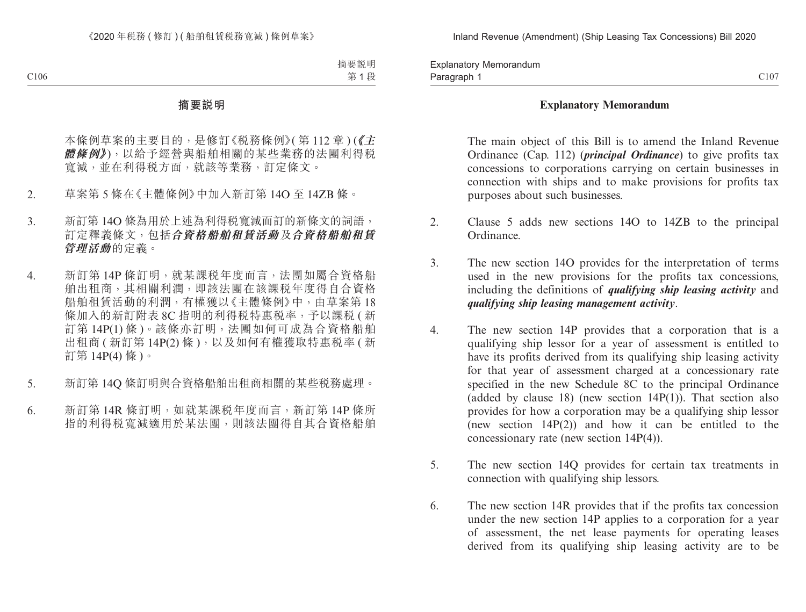Paragraph 1 and 2006 C107 C107 C107 C107 C107 Explanatory Memorandum Paragraph 1

#### **Explanatory Memorandum**

The main object of this Bill is to amend the Inland Revenue Ordinance (Cap. 112) (*principal Ordinance*) to give profits tax concessions to corporations carrying on certain businesses in connection with ships and to make provisions for profits tax purposes about such businesses.

- 2. Clause 5 adds new sections 14O to 14ZB to the principal Ordinance.
- 3. The new section 14O provides for the interpretation of terms used in the new provisions for the profits tax concessions, including the definitions of *qualifying ship leasing activity* and *qualifying ship leasing management activity*.
- 4. The new section 14P provides that a corporation that is a qualifying ship lessor for a year of assessment is entitled to have its profits derived from its qualifying ship leasing activity for that year of assessment charged at a concessionary rate specified in the new Schedule 8C to the principal Ordinance (added by clause 18) (new section  $14P(1)$ ). That section also provides for how a corporation may be a qualifying ship lessor (new section 14P(2)) and how it can be entitled to the concessionary rate (new section 14P(4)).
- 5. The new section 14Q provides for certain tax treatments in connection with qualifying ship lessors.
- 6. The new section 14R provides that if the profits tax concession under the new section 14P applies to a corporation for a year of assessment, the net lease payments for operating leases derived from its qualifying ship leasing activity are to be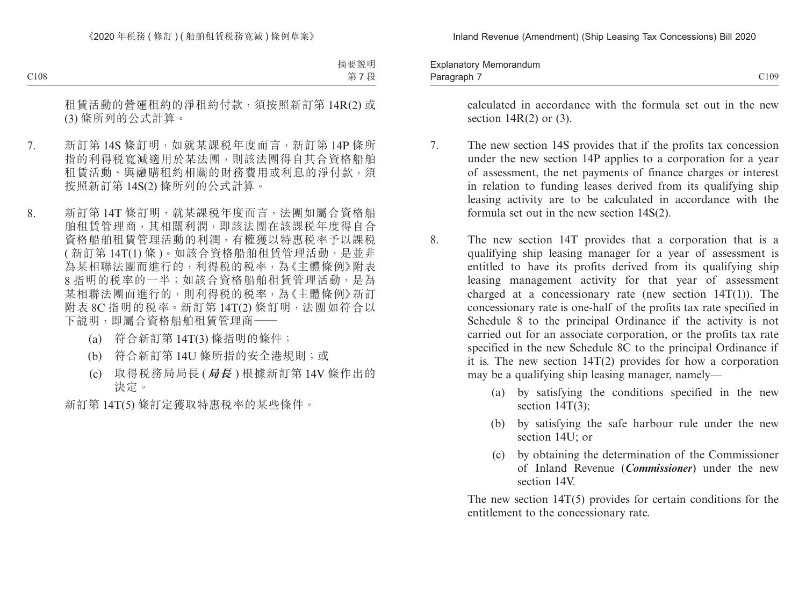Paragraph 7 and 2008 C109 Explanatory Memorandum Paragraph 7

> calculated in accordance with the formula set out in the new section  $14R(2)$  or  $(3)$ .

- 7. The new section 14S provides that if the profits tax concession under the new section 14P applies to a corporation for a year of assessment, the net payments of finance charges or interest in relation to funding leases derived from its qualifying ship leasing activity are to be calculated in accordance with the formula set out in the new section 14S(2).
- 8. The new section 14T provides that a corporation that is a qualifying ship leasing manager for a year of assessment is entitled to have its profits derived from its qualifying ship leasing management activity for that year of assessment charged at a concessionary rate (new section  $14T(1)$ ). The concessionary rate is one-half of the profits tax rate specified in Schedule 8 to the principal Ordinance if the activity is not carried out for an associate corporation, or the profits tax rate specified in the new Schedule 8C to the principal Ordinance if it is. The new section 14T(2) provides for how a corporation may be a qualifying ship leasing manager, namely—
	- (a) by satisfying the conditions specified in the new section 14T(3):
	- (b) by satisfying the safe harbour rule under the new section 14U; or
	- (c) by obtaining the determination of the Commissioner of Inland Revenue (*Commissioner*) under the new section 14V.

The new section  $14T(5)$  provides for certain conditions for the entitlement to the concessionary rate.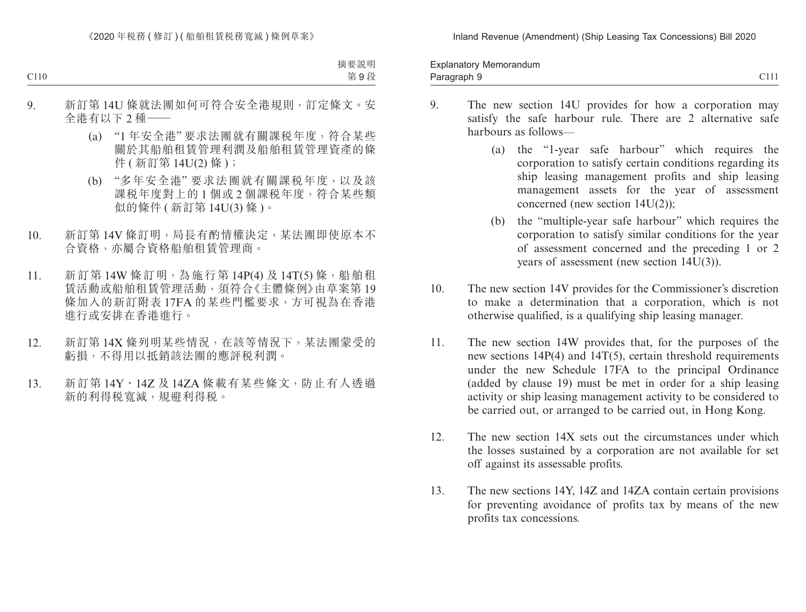Paragraph 9 and 2011 and 2012 and 2012 and 2012 and 2012 and 2012 and 2012 and 2014 and 2012 and 201 Explanatory Memorandum Paragraph 9

- 9. The new section 14U provides for how a corporation may satisfy the safe harbour rule. There are 2 alternative safe harbours as follows—
	- (a) the "1-year safe harbour" which requires the corporation to satisfy certain conditions regarding its ship leasing management profits and ship leasing management assets for the year of assessment concerned (new section 14U(2));
	- (b) the "multiple-year safe harbour" which requires the corporation to satisfy similar conditions for the year of assessment concerned and the preceding 1 or 2 years of assessment (new section 14U(3)).
- 10. The new section 14V provides for the Commissioner's discretion to make a determination that a corporation, which is not otherwise qualified, is a qualifying ship leasing manager.
- 11. The new section 14W provides that, for the purposes of the new sections 14P(4) and 14T(5), certain threshold requirements under the new Schedule 17FA to the principal Ordinance (added by clause 19) must be met in order for a ship leasing activity or ship leasing management activity to be considered to be carried out, or arranged to be carried out, in Hong Kong.
- 12. The new section 14X sets out the circumstances under which the losses sustained by a corporation are not available for set off against its assessable profits.
- 13. The new sections 14Y, 14Z and 14ZA contain certain provisions for preventing avoidance of profits tax by means of the new profits tax concessions.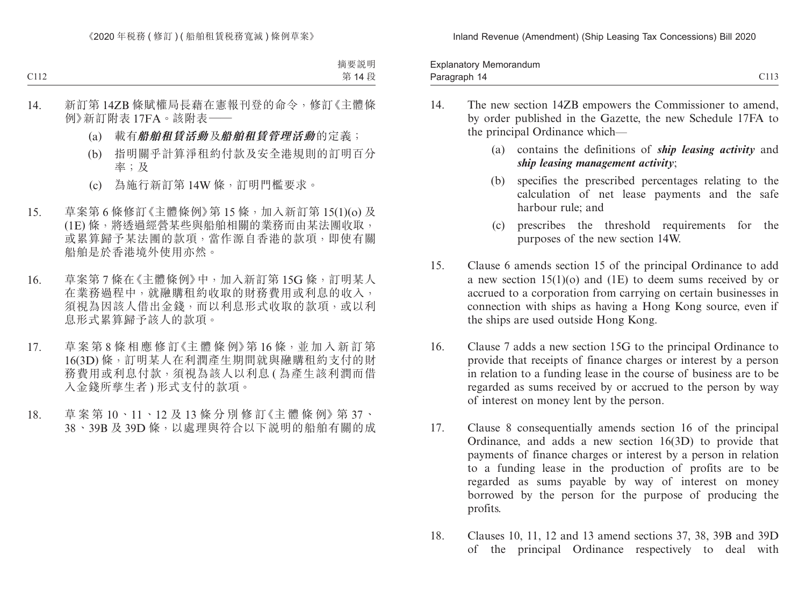| Explanatory Memorandum<br>and the contract of the contract of |                                            |
|---------------------------------------------------------------|--------------------------------------------|
| Paragraph<br>- 11<br>ີ                                        | $\sim$ $\sim$ $\sim$<br>. .<br><b>0110</b> |

- 14. The new section 14ZB empowers the Commissioner to amend, by order published in the Gazette, the new Schedule 17FA to the principal Ordinance which—
	- (a) contains the definitions of *ship leasing activity* and *ship leasing management activity*;
	- (b) specifies the prescribed percentages relating to the calculation of net lease payments and the safe harbour rule; and
	- (c) prescribes the threshold requirements for the purposes of the new section 14W.
- 15. Clause 6 amends section 15 of the principal Ordinance to add a new section 15(1)(o) and (1E) to deem sums received by or accrued to a corporation from carrying on certain businesses in connection with ships as having a Hong Kong source, even if the ships are used outside Hong Kong.
- 16. Clause 7 adds a new section 15G to the principal Ordinance to provide that receipts of finance charges or interest by a person in relation to a funding lease in the course of business are to be regarded as sums received by or accrued to the person by way of interest on money lent by the person.
- 17. Clause 8 consequentially amends section 16 of the principal Ordinance, and adds a new section 16(3D) to provide that payments of finance charges or interest by a person in relation to a funding lease in the production of profits are to be regarded as sums payable by way of interest on money borrowed by the person for the purpose of producing the profits.
- 18. Clauses 10, 11, 12 and 13 amend sections 37, 38, 39B and 39D of the principal Ordinance respectively to deal with